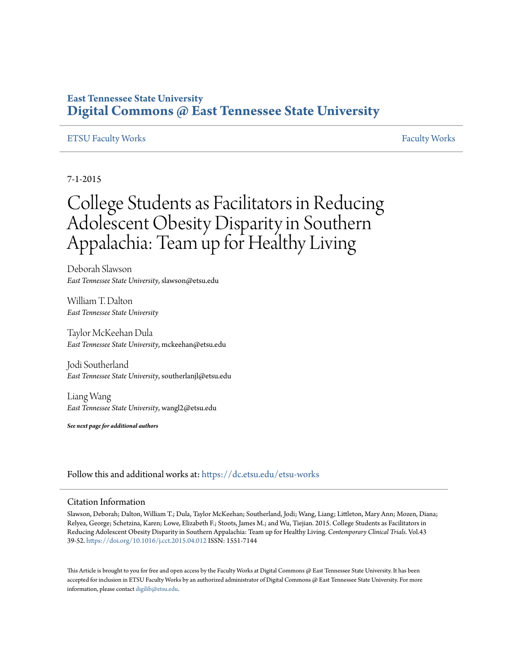## **East Tennessee State University [Digital Commons @ East Tennessee State University](https://dc.etsu.edu?utm_source=dc.etsu.edu%2Fetsu-works%2F5113&utm_medium=PDF&utm_campaign=PDFCoverPages)**

## [ETSU Faculty Works](https://dc.etsu.edu/etsu-works?utm_source=dc.etsu.edu%2Fetsu-works%2F5113&utm_medium=PDF&utm_campaign=PDFCoverPages) [Faculty Works](https://dc.etsu.edu/faculty-works?utm_source=dc.etsu.edu%2Fetsu-works%2F5113&utm_medium=PDF&utm_campaign=PDFCoverPages) Faculty Works Faculty Works Faculty Works Faculty Works Faculty Works Faculty Works Faculty Morks Faculty Morks Faculty Morks Faculty Morks Faculty Morks Faculty Morks Faculty Morks Faculty

7-1-2015

# College Students as Facilitators in Reducing Adolescent Obesity Disparity in Southern Appalachia: Team up for Healthy Living

Deborah Slawson *East Tennessee State University*, slawson@etsu.edu

William T. Dalton *East Tennessee State University*

Taylor McKeehan Dula *East Tennessee State University*, mckeehan@etsu.edu

Jodi Southerland *East Tennessee State University*, southerlanjl@etsu.edu

Liang Wang *East Tennessee State University*, wangl2@etsu.edu

*See next page for additional authors*

Follow this and additional works at: [https://dc.etsu.edu/etsu-works](https://dc.etsu.edu/etsu-works?utm_source=dc.etsu.edu%2Fetsu-works%2F5113&utm_medium=PDF&utm_campaign=PDFCoverPages)

## Citation Information

Slawson, Deborah; Dalton, William T.; Dula, Taylor McKeehan; Southerland, Jodi; Wang, Liang; Littleton, Mary Ann; Mozen, Diana; Relyea, George; Schetzina, Karen; Lowe, Elizabeth F.; Stoots, James M.; and Wu, Tiejian. 2015. College Students as Facilitators in Reducing Adolescent Obesity Disparity in Southern Appalachia: Team up for Healthy Living. *Contemporary Clinical Trials*. Vol.43 39-52. <https://doi.org/10.1016/j.cct.2015.04.012> ISSN: 1551-7144

This Article is brought to you for free and open access by the Faculty Works at Digital Commons @ East Tennessee State University. It has been accepted for inclusion in ETSU Faculty Works by an authorized administrator of Digital Commons @ East Tennessee State University. For more information, please contact [digilib@etsu.edu.](mailto:digilib@etsu.edu)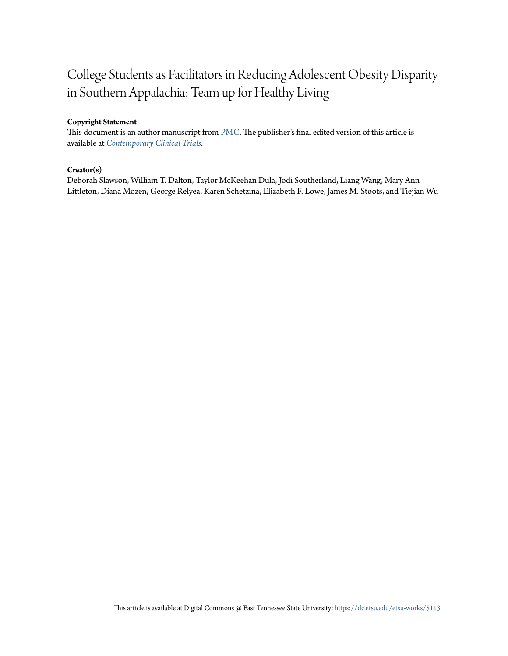# College Students as Facilitators in Reducing Adolescent Obesity Disparity in Southern Appalachia: Team up for Healthy Living

## **Copyright Statement**

This document is an author manuscript from [PMC.](https://www.ncbi.nlm.nih.gov/pmc/articles/PMC4522358/) The publisher's final edited version of this article is available at *[Contemporary Clinical Trials](https://doi.org/10.1016/j.cct.2015.04.012)*.

## **Creator(s)**

Deborah Slawson, William T. Dalton, Taylor McKeehan Dula, Jodi Southerland, Liang Wang, Mary Ann Littleton, Diana Mozen, George Relyea, Karen Schetzina, Elizabeth F. Lowe, James M. Stoots, and Tiejian Wu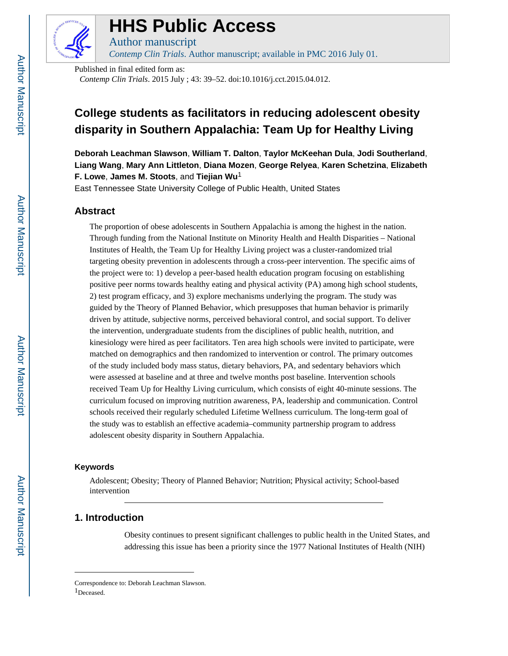

# **HHS Public Access**

Author manuscript

*Contemp Clin Trials*. Author manuscript; available in PMC 2016 July 01.

Published in final edited form as: *Contemp Clin Trials*. 2015 July ; 43: 39–52. doi:10.1016/j.cct.2015.04.012.

## **College students as facilitators in reducing adolescent obesity disparity in Southern Appalachia: Team Up for Healthy Living**

**Deborah Leachman Slawson**, **William T. Dalton**, **Taylor McKeehan Dula**, **Jodi Southerland**, **Liang Wang**, **Mary Ann Littleton**, **Diana Mozen**, **George Relyea**, **Karen Schetzina**, **Elizabeth F. Lowe**, **James M. Stoots**, and **Tiejian Wu**<sup>1</sup>

East Tennessee State University College of Public Health, United States

## **Abstract**

The proportion of obese adolescents in Southern Appalachia is among the highest in the nation. Through funding from the National Institute on Minority Health and Health Disparities – National Institutes of Health, the Team Up for Healthy Living project was a cluster-randomized trial targeting obesity prevention in adolescents through a cross-peer intervention. The specific aims of the project were to: 1) develop a peer-based health education program focusing on establishing positive peer norms towards healthy eating and physical activity (PA) among high school students, 2) test program efficacy, and 3) explore mechanisms underlying the program. The study was guided by the Theory of Planned Behavior, which presupposes that human behavior is primarily driven by attitude, subjective norms, perceived behavioral control, and social support. To deliver the intervention, undergraduate students from the disciplines of public health, nutrition, and kinesiology were hired as peer facilitators. Ten area high schools were invited to participate, were matched on demographics and then randomized to intervention or control. The primary outcomes of the study included body mass status, dietary behaviors, PA, and sedentary behaviors which were assessed at baseline and at three and twelve months post baseline. Intervention schools received Team Up for Healthy Living curriculum, which consists of eight 40-minute sessions. The curriculum focused on improving nutrition awareness, PA, leadership and communication. Control schools received their regularly scheduled Lifetime Wellness curriculum. The long-term goal of the study was to establish an effective academia–community partnership program to address adolescent obesity disparity in Southern Appalachia.

## **Keywords**

Adolescent; Obesity; Theory of Planned Behavior; Nutrition; Physical activity; School-based intervention

## **1. Introduction**

Obesity continues to present significant challenges to public health in the United States, and addressing this issue has been a priority since the 1977 National Institutes of Health (NIH)

Correspondence to: Deborah Leachman Slawson. 1Deceased.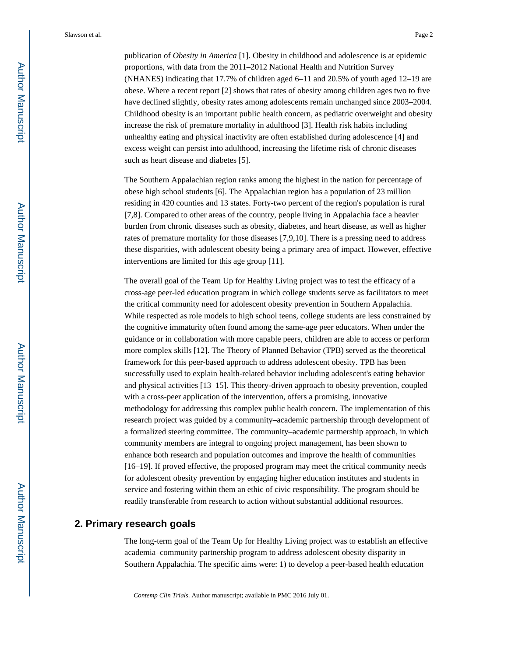publication of *Obesity in America* [1]. Obesity in childhood and adolescence is at epidemic proportions, with data from the 2011–2012 National Health and Nutrition Survey (NHANES) indicating that 17.7% of children aged 6–11 and 20.5% of youth aged 12–19 are obese. Where a recent report [2] shows that rates of obesity among children ages two to five have declined slightly, obesity rates among adolescents remain unchanged since 2003–2004. Childhood obesity is an important public health concern, as pediatric overweight and obesity increase the risk of premature mortality in adulthood [3]. Health risk habits including unhealthy eating and physical inactivity are often established during adolescence [4] and excess weight can persist into adulthood, increasing the lifetime risk of chronic diseases such as heart disease and diabetes [5].

The Southern Appalachian region ranks among the highest in the nation for percentage of obese high school students [6]. The Appalachian region has a population of 23 million residing in 420 counties and 13 states. Forty-two percent of the region's population is rural [7,8]. Compared to other areas of the country, people living in Appalachia face a heavier burden from chronic diseases such as obesity, diabetes, and heart disease, as well as higher rates of premature mortality for those diseases [7,9,10]. There is a pressing need to address these disparities, with adolescent obesity being a primary area of impact. However, effective interventions are limited for this age group [11].

The overall goal of the Team Up for Healthy Living project was to test the efficacy of a cross-age peer-led education program in which college students serve as facilitators to meet the critical community need for adolescent obesity prevention in Southern Appalachia. While respected as role models to high school teens, college students are less constrained by the cognitive immaturity often found among the same-age peer educators. When under the guidance or in collaboration with more capable peers, children are able to access or perform more complex skills [12]. The Theory of Planned Behavior (TPB) served as the theoretical framework for this peer-based approach to address adolescent obesity. TPB has been successfully used to explain health-related behavior including adolescent's eating behavior and physical activities [13–15]. This theory-driven approach to obesity prevention, coupled with a cross-peer application of the intervention, offers a promising, innovative methodology for addressing this complex public health concern. The implementation of this research project was guided by a community–academic partnership through development of a formalized steering committee. The community–academic partnership approach, in which community members are integral to ongoing project management, has been shown to enhance both research and population outcomes and improve the health of communities [16–19]. If proved effective, the proposed program may meet the critical community needs for adolescent obesity prevention by engaging higher education institutes and students in service and fostering within them an ethic of civic responsibility. The program should be readily transferable from research to action without substantial additional resources.

## **2. Primary research goals**

The long-term goal of the Team Up for Healthy Living project was to establish an effective academia–community partnership program to address adolescent obesity disparity in Southern Appalachia. The specific aims were: 1) to develop a peer-based health education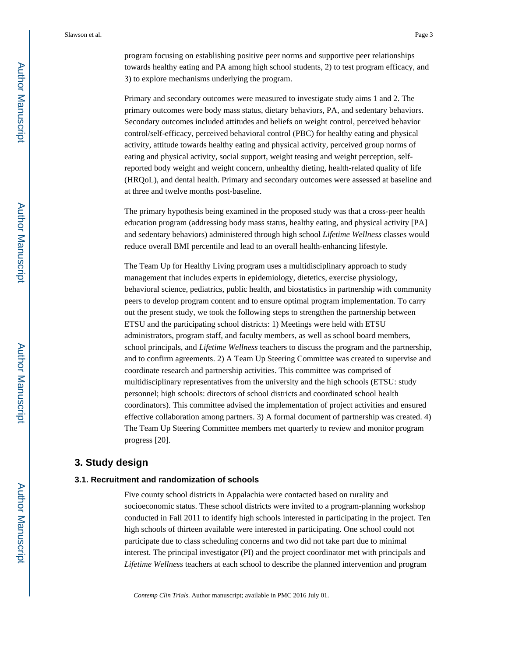program focusing on establishing positive peer norms and supportive peer relationships towards healthy eating and PA among high school students, 2) to test program efficacy, and 3) to explore mechanisms underlying the program.

Primary and secondary outcomes were measured to investigate study aims 1 and 2. The primary outcomes were body mass status, dietary behaviors, PA, and sedentary behaviors. Secondary outcomes included attitudes and beliefs on weight control, perceived behavior control/self-efficacy, perceived behavioral control (PBC) for healthy eating and physical activity, attitude towards healthy eating and physical activity, perceived group norms of eating and physical activity, social support, weight teasing and weight perception, selfreported body weight and weight concern, unhealthy dieting, health-related quality of life (HRQoL), and dental health. Primary and secondary outcomes were assessed at baseline and at three and twelve months post-baseline.

The primary hypothesis being examined in the proposed study was that a cross-peer health education program (addressing body mass status, healthy eating, and physical activity [PA] and sedentary behaviors) administered through high school *Lifetime Wellness* classes would reduce overall BMI percentile and lead to an overall health-enhancing lifestyle.

The Team Up for Healthy Living program uses a multidisciplinary approach to study management that includes experts in epidemiology, dietetics, exercise physiology, behavioral science, pediatrics, public health, and biostatistics in partnership with community peers to develop program content and to ensure optimal program implementation. To carry out the present study, we took the following steps to strengthen the partnership between ETSU and the participating school districts: 1) Meetings were held with ETSU administrators, program staff, and faculty members, as well as school board members, school principals, and *Lifetime Wellness* teachers to discuss the program and the partnership, and to confirm agreements. 2) A Team Up Steering Committee was created to supervise and coordinate research and partnership activities. This committee was comprised of multidisciplinary representatives from the university and the high schools (ETSU: study personnel; high schools: directors of school districts and coordinated school health coordinators). This committee advised the implementation of project activities and ensured effective collaboration among partners. 3) A formal document of partnership was created. 4) The Team Up Steering Committee members met quarterly to review and monitor program progress [20].

## **3. Study design**

### **3.1. Recruitment and randomization of schools**

Five county school districts in Appalachia were contacted based on rurality and socioeconomic status. These school districts were invited to a program-planning workshop conducted in Fall 2011 to identify high schools interested in participating in the project. Ten high schools of thirteen available were interested in participating. One school could not participate due to class scheduling concerns and two did not take part due to minimal interest. The principal investigator (PI) and the project coordinator met with principals and *Lifetime Wellness* teachers at each school to describe the planned intervention and program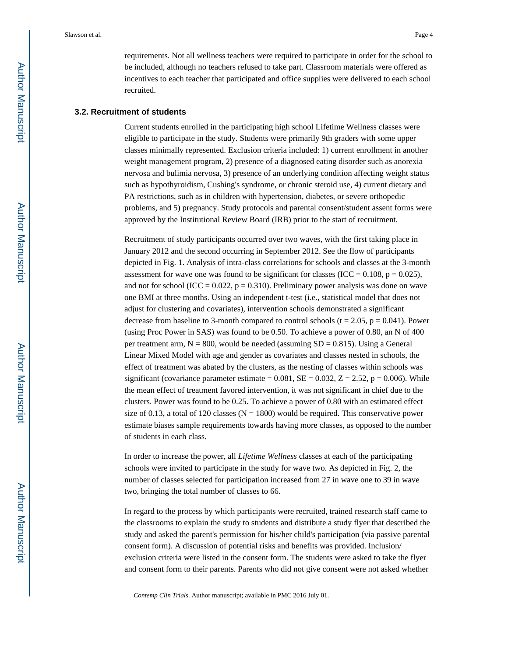requirements. Not all wellness teachers were required to participate in order for the school to be included, although no teachers refused to take part. Classroom materials were offered as incentives to each teacher that participated and office supplies were delivered to each school recruited.

#### **3.2. Recruitment of students**

Current students enrolled in the participating high school Lifetime Wellness classes were eligible to participate in the study. Students were primarily 9th graders with some upper classes minimally represented. Exclusion criteria included: 1) current enrollment in another weight management program, 2) presence of a diagnosed eating disorder such as anorexia nervosa and bulimia nervosa, 3) presence of an underlying condition affecting weight status such as hypothyroidism, Cushing's syndrome, or chronic steroid use, 4) current dietary and PA restrictions, such as in children with hypertension, diabetes, or severe orthopedic problems, and 5) pregnancy. Study protocols and parental consent/student assent forms were approved by the Institutional Review Board (IRB) prior to the start of recruitment.

Recruitment of study participants occurred over two waves, with the first taking place in January 2012 and the second occurring in September 2012. See the flow of participants depicted in Fig. 1. Analysis of intra-class correlations for schools and classes at the 3-month assessment for wave one was found to be significant for classes (ICC =  $0.108$ , p =  $0.025$ ), and not for school (ICC = 0.022,  $p = 0.310$ ). Preliminary power analysis was done on wave one BMI at three months. Using an independent t-test (i.e., statistical model that does not adjust for clustering and covariates), intervention schools demonstrated a significant decrease from baseline to 3-month compared to control schools (t = 2.05,  $p = 0.041$ ). Power (using Proc Power in SAS) was found to be 0.50. To achieve a power of 0.80, an N of 400 per treatment arm,  $N = 800$ , would be needed (assuming  $SD = 0.815$ ). Using a General Linear Mixed Model with age and gender as covariates and classes nested in schools, the effect of treatment was abated by the clusters, as the nesting of classes within schools was significant (covariance parameter estimate =  $0.081$ , SE =  $0.032$ , Z =  $2.52$ , p =  $0.006$ ). While the mean effect of treatment favored intervention, it was not significant in chief due to the clusters. Power was found to be 0.25. To achieve a power of 0.80 with an estimated effect size of 0.13, a total of 120 classes ( $N = 1800$ ) would be required. This conservative power estimate biases sample requirements towards having more classes, as opposed to the number of students in each class.

In order to increase the power, all *Lifetime Wellness* classes at each of the participating schools were invited to participate in the study for wave two. As depicted in Fig. 2, the number of classes selected for participation increased from 27 in wave one to 39 in wave two, bringing the total number of classes to 66.

In regard to the process by which participants were recruited, trained research staff came to the classrooms to explain the study to students and distribute a study flyer that described the study and asked the parent's permission for his/her child's participation (via passive parental consent form). A discussion of potential risks and benefits was provided. Inclusion/ exclusion criteria were listed in the consent form. The students were asked to take the flyer and consent form to their parents. Parents who did not give consent were not asked whether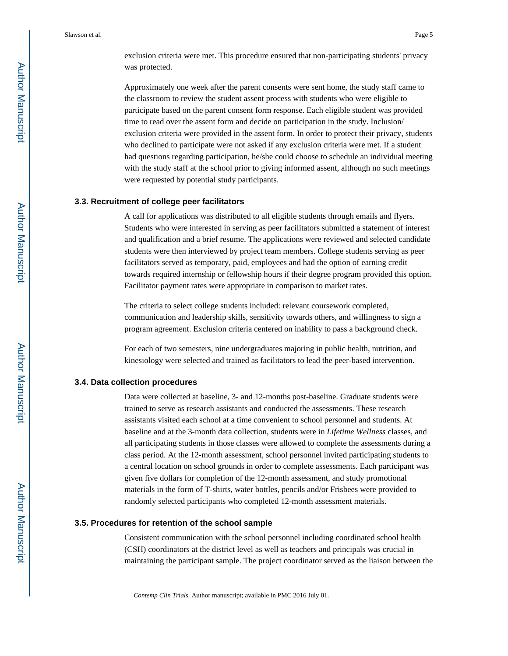exclusion criteria were met. This procedure ensured that non-participating students' privacy was protected.

Approximately one week after the parent consents were sent home, the study staff came to the classroom to review the student assent process with students who were eligible to participate based on the parent consent form response. Each eligible student was provided time to read over the assent form and decide on participation in the study. Inclusion/ exclusion criteria were provided in the assent form. In order to protect their privacy, students who declined to participate were not asked if any exclusion criteria were met. If a student had questions regarding participation, he/she could choose to schedule an individual meeting with the study staff at the school prior to giving informed assent, although no such meetings were requested by potential study participants.

#### **3.3. Recruitment of college peer facilitators**

A call for applications was distributed to all eligible students through emails and flyers. Students who were interested in serving as peer facilitators submitted a statement of interest and qualification and a brief resume. The applications were reviewed and selected candidate students were then interviewed by project team members. College students serving as peer facilitators served as temporary, paid, employees and had the option of earning credit towards required internship or fellowship hours if their degree program provided this option. Facilitator payment rates were appropriate in comparison to market rates.

The criteria to select college students included: relevant coursework completed, communication and leadership skills, sensitivity towards others, and willingness to sign a program agreement. Exclusion criteria centered on inability to pass a background check.

For each of two semesters, nine undergraduates majoring in public health, nutrition, and kinesiology were selected and trained as facilitators to lead the peer-based intervention.

#### **3.4. Data collection procedures**

Data were collected at baseline, 3- and 12-months post-baseline. Graduate students were trained to serve as research assistants and conducted the assessments. These research assistants visited each school at a time convenient to school personnel and students. At baseline and at the 3-month data collection, students were in *Lifetime Wellness* classes, and all participating students in those classes were allowed to complete the assessments during a class period. At the 12-month assessment, school personnel invited participating students to a central location on school grounds in order to complete assessments. Each participant was given five dollars for completion of the 12-month assessment, and study promotional materials in the form of T-shirts, water bottles, pencils and/or Frisbees were provided to randomly selected participants who completed 12-month assessment materials.

#### **3.5. Procedures for retention of the school sample**

Consistent communication with the school personnel including coordinated school health (CSH) coordinators at the district level as well as teachers and principals was crucial in maintaining the participant sample. The project coordinator served as the liaison between the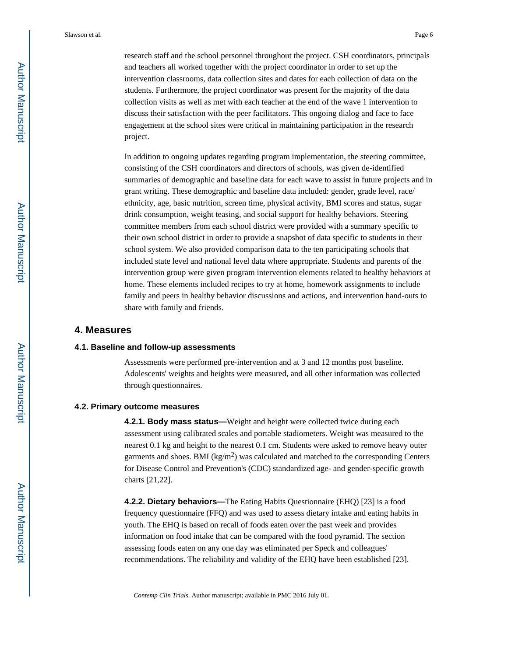research staff and the school personnel throughout the project. CSH coordinators, principals and teachers all worked together with the project coordinator in order to set up the intervention classrooms, data collection sites and dates for each collection of data on the students. Furthermore, the project coordinator was present for the majority of the data collection visits as well as met with each teacher at the end of the wave 1 intervention to discuss their satisfaction with the peer facilitators. This ongoing dialog and face to face engagement at the school sites were critical in maintaining participation in the research project.

In addition to ongoing updates regarding program implementation, the steering committee, consisting of the CSH coordinators and directors of schools, was given de-identified summaries of demographic and baseline data for each wave to assist in future projects and in grant writing. These demographic and baseline data included: gender, grade level, race/ ethnicity, age, basic nutrition, screen time, physical activity, BMI scores and status, sugar drink consumption, weight teasing, and social support for healthy behaviors. Steering committee members from each school district were provided with a summary specific to their own school district in order to provide a snapshot of data specific to students in their school system. We also provided comparison data to the ten participating schools that included state level and national level data where appropriate. Students and parents of the intervention group were given program intervention elements related to healthy behaviors at home. These elements included recipes to try at home, homework assignments to include family and peers in healthy behavior discussions and actions, and intervention hand-outs to share with family and friends.

## **4. Measures**

#### **4.1. Baseline and follow-up assessments**

Assessments were performed pre-intervention and at 3 and 12 months post baseline. Adolescents' weights and heights were measured, and all other information was collected through questionnaires.

#### **4.2. Primary outcome measures**

**4.2.1. Body mass status—**Weight and height were collected twice during each assessment using calibrated scales and portable stadiometers. Weight was measured to the nearest 0.1 kg and height to the nearest 0.1 cm. Students were asked to remove heavy outer garments and shoes. BMI ( $kg/m<sup>2</sup>$ ) was calculated and matched to the corresponding Centers for Disease Control and Prevention's (CDC) standardized age- and gender-specific growth charts [21,22].

**4.2.2. Dietary behaviors—**The Eating Habits Questionnaire (EHQ) [23] is a food frequency questionnaire (FFQ) and was used to assess dietary intake and eating habits in youth. The EHQ is based on recall of foods eaten over the past week and provides information on food intake that can be compared with the food pyramid. The section assessing foods eaten on any one day was eliminated per Speck and colleagues' recommendations. The reliability and validity of the EHQ have been established [23].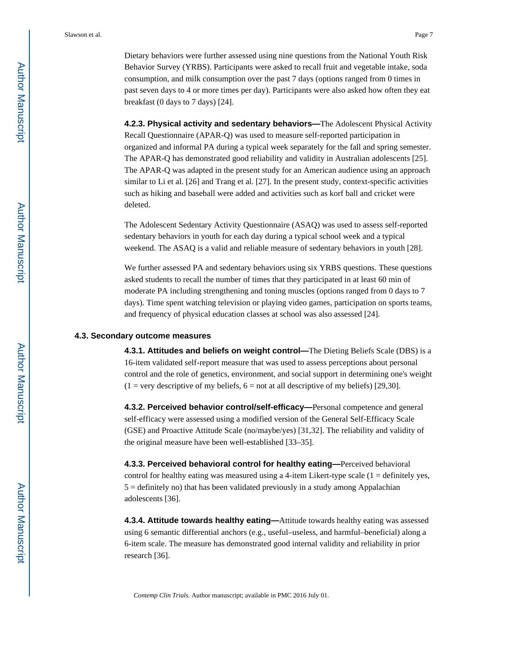Dietary behaviors were further assessed using nine questions from the National Youth Risk Behavior Survey (YRBS). Participants were asked to recall fruit and vegetable intake, soda consumption, and milk consumption over the past 7 days (options ranged from 0 times in past seven days to 4 or more times per day). Participants were also asked how often they eat breakfast (0 days to 7 days) [24].

**4.2.3. Physical activity and sedentary behaviors—**The Adolescent Physical Activity Recall Questionnaire (APAR-Q) was used to measure self-reported participation in organized and informal PA during a typical week separately for the fall and spring semester. The APAR-Q has demonstrated good reliability and validity in Australian adolescents [25]. The APAR-Q was adapted in the present study for an American audience using an approach similar to Li et al. [26] and Trang et al. [27]. In the present study, context-specific activities such as hiking and baseball were added and activities such as korf ball and cricket were deleted.

The Adolescent Sedentary Activity Questionnaire (ASAQ) was used to assess self-reported sedentary behaviors in youth for each day during a typical school week and a typical weekend. The ASAQ is a valid and reliable measure of sedentary behaviors in youth [28].

We further assessed PA and sedentary behaviors using six YRBS questions. These questions asked students to recall the number of times that they participated in at least 60 min of moderate PA including strengthening and toning muscles (options ranged from 0 days to 7 days). Time spent watching television or playing video games, participation on sports teams, and frequency of physical education classes at school was also assessed [24].

#### **4.3. Secondary outcome measures**

**4.3.1. Attitudes and beliefs on weight control—**The Dieting Beliefs Scale (DBS) is a 16-item validated self-report measure that was used to assess perceptions about personal control and the role of genetics, environment, and social support in determining one's weight  $(1 = \text{very descriptive of my beliefs}, 6 = \text{not at all descriptive of my beliefs})$  [29,30].

**4.3.2. Perceived behavior control/self-efficacy—**Personal competence and general self-efficacy were assessed using a modified version of the General Self-Efficacy Scale (GSE) and Proactive Attitude Scale (no/maybe/yes) [31,32]. The reliability and validity of the original measure have been well-established [33–35].

**4.3.3. Perceived behavioral control for healthy eating—**Perceived behavioral control for healthy eating was measured using a 4-item Likert-type scale  $(1 =$  definitely yes,  $5 =$  definitely no) that has been validated previously in a study among Appalachian adolescents [36].

**4.3.4. Attitude towards healthy eating—**Attitude towards healthy eating was assessed using 6 semantic differential anchors (e.g., useful–useless, and harmful–beneficial) along a 6-item scale. The measure has demonstrated good internal validity and reliability in prior research [36].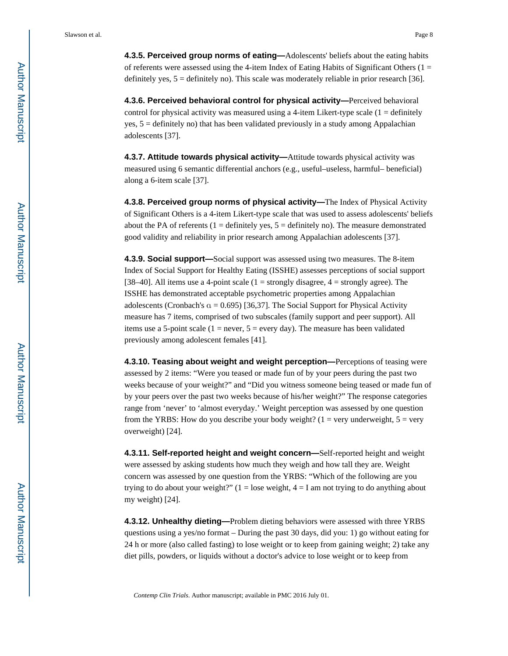**4.3.6. Perceived behavioral control for physical activity—**Perceived behavioral control for physical activity was measured using a 4-item Likert-type scale  $(1 =$  definitely yes, 5 = definitely no) that has been validated previously in a study among Appalachian adolescents [37].

**4.3.7. Attitude towards physical activity—**Attitude towards physical activity was measured using 6 semantic differential anchors (e.g., useful–useless, harmful– beneficial) along a 6-item scale [37].

**4.3.8. Perceived group norms of physical activity—**The Index of Physical Activity of Significant Others is a 4-item Likert-type scale that was used to assess adolescents' beliefs about the PA of referents  $(1 =$  definitely yes,  $5 =$  definitely no). The measure demonstrated good validity and reliability in prior research among Appalachian adolescents [37].

**4.3.9. Social support—**Social support was assessed using two measures. The 8-item Index of Social Support for Healthy Eating (ISSHE) assesses perceptions of social support [38–40]. All items use a 4-point scale  $(1 =$  strongly disagree,  $4 =$  strongly agree). The ISSHE has demonstrated acceptable psychometric properties among Appalachian adolescents (Cronbach's  $\alpha = 0.695$ ) [36,37]. The Social Support for Physical Activity measure has 7 items, comprised of two subscales (family support and peer support). All items use a 5-point scale ( $1 = never$ ,  $5 = every day$ ). The measure has been validated previously among adolescent females [41].

**4.3.10. Teasing about weight and weight perception—**Perceptions of teasing were assessed by 2 items: "Were you teased or made fun of by your peers during the past two weeks because of your weight?" and "Did you witness someone being teased or made fun of by your peers over the past two weeks because of his/her weight?" The response categories range from 'never' to 'almost everyday.' Weight perception was assessed by one question from the YRBS: How do you describe your body weight? ( $1 = \text{very}$  underweight,  $5 = \text{very}$ ) overweight) [24].

**4.3.11. Self-reported height and weight concern—**Self-reported height and weight were assessed by asking students how much they weigh and how tall they are. Weight concern was assessed by one question from the YRBS: "Which of the following are you trying to do about your weight?"  $(1 = \text{lose weight}, 4 = \text{I} \text{ am not trying to do anything about})$ my weight) [24].

**4.3.12. Unhealthy dieting—**Problem dieting behaviors were assessed with three YRBS questions using a yes/no format – During the past 30 days, did you: 1) go without eating for 24 h or more (also called fasting) to lose weight or to keep from gaining weight; 2) take any diet pills, powders, or liquids without a doctor's advice to lose weight or to keep from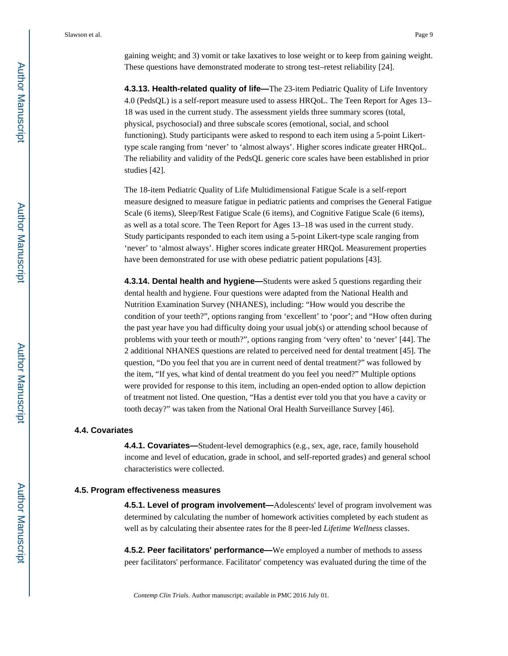gaining weight; and 3) vomit or take laxatives to lose weight or to keep from gaining weight. These questions have demonstrated moderate to strong test–retest reliability [24].

**4.3.13. Health-related quality of life—**The 23-item Pediatric Quality of Life Inventory 4.0 (PedsQL) is a self-report measure used to assess HRQoL. The Teen Report for Ages 13– 18 was used in the current study. The assessment yields three summary scores (total, physical, psychosocial) and three subscale scores (emotional, social, and school functioning). Study participants were asked to respond to each item using a 5-point Likerttype scale ranging from 'never' to 'almost always'. Higher scores indicate greater HRQoL. The reliability and validity of the PedsQL generic core scales have been established in prior studies [42].

The 18-item Pediatric Quality of Life Multidimensional Fatigue Scale is a self-report measure designed to measure fatigue in pediatric patients and comprises the General Fatigue Scale (6 items), Sleep/Rest Fatigue Scale (6 items), and Cognitive Fatigue Scale (6 items), as well as a total score. The Teen Report for Ages 13–18 was used in the current study. Study participants responded to each item using a 5-point Likert-type scale ranging from 'never' to 'almost always'. Higher scores indicate greater HRQoL Measurement properties have been demonstrated for use with obese pediatric patient populations [43].

**4.3.14. Dental health and hygiene—**Students were asked 5 questions regarding their dental health and hygiene. Four questions were adapted from the National Health and Nutrition Examination Survey (NHANES), including: "How would you describe the condition of your teeth?", options ranging from 'excellent' to 'poor'; and "How often during the past year have you had difficulty doing your usual job(s) or attending school because of problems with your teeth or mouth?", options ranging from 'very often' to 'never' [44]. The 2 additional NHANES questions are related to perceived need for dental treatment [45]. The question, "Do you feel that you are in current need of dental treatment?" was followed by the item, "If yes, what kind of dental treatment do you feel you need?" Multiple options were provided for response to this item, including an open-ended option to allow depiction of treatment not listed. One question, "Has a dentist ever told you that you have a cavity or tooth decay?" was taken from the National Oral Health Surveillance Survey [46].

#### **4.4. Covariates**

**4.4.1. Covariates—**Student-level demographics (e.g., sex, age, race, family household income and level of education, grade in school, and self-reported grades) and general school characteristics were collected.

#### **4.5. Program effectiveness measures**

**4.5.1. Level of program involvement—**Adolescents' level of program involvement was determined by calculating the number of homework activities completed by each student as well as by calculating their absentee rates for the 8 peer-led *Lifetime Wellness* classes.

**4.5.2. Peer facilitators' performance—**We employed a number of methods to assess peer facilitators' performance. Facilitator' competency was evaluated during the time of the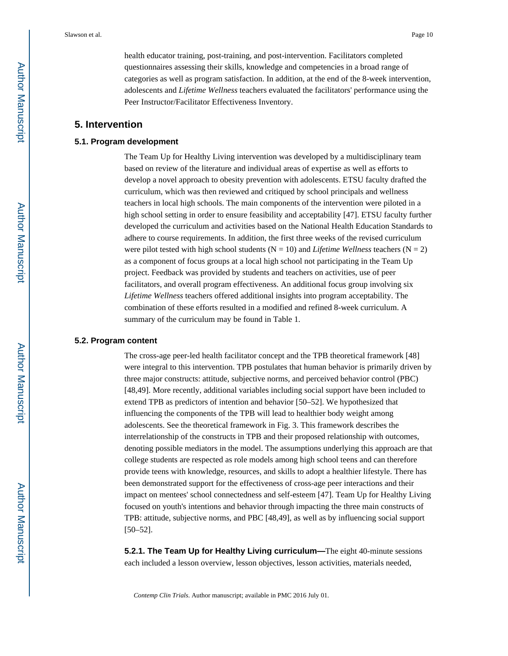health educator training, post-training, and post-intervention. Facilitators completed questionnaires assessing their skills, knowledge and competencies in a broad range of categories as well as program satisfaction. In addition, at the end of the 8-week intervention, adolescents and *Lifetime Wellness* teachers evaluated the facilitators' performance using the Peer Instructor/Facilitator Effectiveness Inventory.

## **5. Intervention**

### **5.1. Program development**

The Team Up for Healthy Living intervention was developed by a multidisciplinary team based on review of the literature and individual areas of expertise as well as efforts to develop a novel approach to obesity prevention with adolescents. ETSU faculty drafted the curriculum, which was then reviewed and critiqued by school principals and wellness teachers in local high schools. The main components of the intervention were piloted in a high school setting in order to ensure feasibility and acceptability [47]. ETSU faculty further developed the curriculum and activities based on the National Health Education Standards to adhere to course requirements. In addition, the first three weeks of the revised curriculum were pilot tested with high school students ( $N = 10$ ) and *Lifetime Wellness* teachers ( $N = 2$ ) as a component of focus groups at a local high school not participating in the Team Up project. Feedback was provided by students and teachers on activities, use of peer facilitators, and overall program effectiveness. An additional focus group involving six *Lifetime Wellness* teachers offered additional insights into program acceptability. The combination of these efforts resulted in a modified and refined 8-week curriculum. A summary of the curriculum may be found in Table 1.

#### **5.2. Program content**

The cross-age peer-led health facilitator concept and the TPB theoretical framework [48] were integral to this intervention. TPB postulates that human behavior is primarily driven by three major constructs: attitude, subjective norms, and perceived behavior control (PBC) [48,49]. More recently, additional variables including social support have been included to extend TPB as predictors of intention and behavior [50–52]. We hypothesized that influencing the components of the TPB will lead to healthier body weight among adolescents. See the theoretical framework in Fig. 3. This framework describes the interrelationship of the constructs in TPB and their proposed relationship with outcomes, denoting possible mediators in the model. The assumptions underlying this approach are that college students are respected as role models among high school teens and can therefore provide teens with knowledge, resources, and skills to adopt a healthier lifestyle. There has been demonstrated support for the effectiveness of cross-age peer interactions and their impact on mentees' school connectedness and self-esteem [47]. Team Up for Healthy Living focused on youth's intentions and behavior through impacting the three main constructs of TPB: attitude, subjective norms, and PBC [48,49], as well as by influencing social support [50–52].

**5.2.1. The Team Up for Healthy Living curriculum—**The eight 40-minute sessions each included a lesson overview, lesson objectives, lesson activities, materials needed,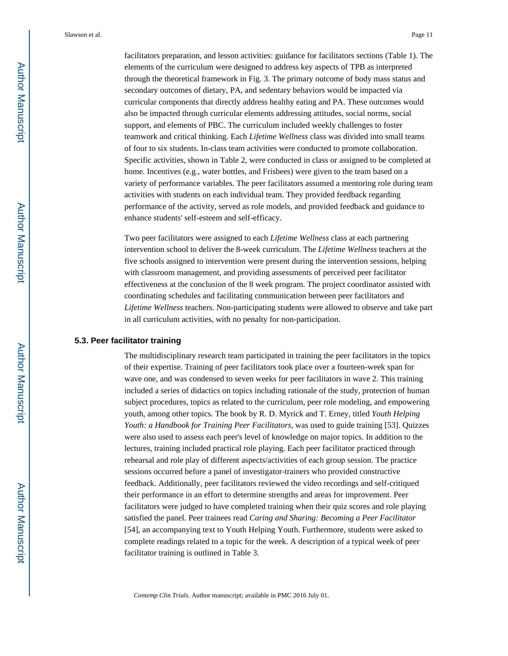facilitators preparation, and lesson activities: guidance for facilitators sections (Table 1). The elements of the curriculum were designed to address key aspects of TPB as interpreted through the theoretical framework in Fig. 3. The primary outcome of body mass status and secondary outcomes of dietary, PA, and sedentary behaviors would be impacted via curricular components that directly address healthy eating and PA. These outcomes would also be impacted through curricular elements addressing attitudes, social norms, social support, and elements of PBC. The curriculum included weekly challenges to foster teamwork and critical thinking. Each *Lifetime Wellness* class was divided into small teams of four to six students. In-class team activities were conducted to promote collaboration. Specific activities, shown in Table 2, were conducted in class or assigned to be completed at home. Incentives (e.g., water bottles, and Frisbees) were given to the team based on a variety of performance variables. The peer facilitators assumed a mentoring role during team activities with students on each individual team. They provided feedback regarding performance of the activity, served as role models, and provided feedback and guidance to enhance students' self-esteem and self-efficacy.

Two peer facilitators were assigned to each *Lifetime Wellness* class at each partnering intervention school to deliver the 8-week curriculum. The *Lifetime Wellness* teachers at the five schools assigned to intervention were present during the intervention sessions, helping with classroom management, and providing assessments of perceived peer facilitator effectiveness at the conclusion of the 8 week program. The project coordinator assisted with coordinating schedules and facilitating communication between peer facilitators and *Lifetime Wellness* teachers. Non-participating students were allowed to observe and take part in all curriculum activities, with no penalty for non-participation.

#### **5.3. Peer facilitator training**

The multidisciplinary research team participated in training the peer facilitators in the topics of their expertise. Training of peer facilitators took place over a fourteen-week span for wave one, and was condensed to seven weeks for peer facilitators in wave 2. This training included a series of didactics on topics including rationale of the study, protection of human subject procedures, topics as related to the curriculum, peer role modeling, and empowering youth, among other topics. The book by R. D. Myrick and T. Erney, titled *Youth Helping Youth: a Handbook for Training Peer Facilitators*, was used to guide training [53]. Quizzes were also used to assess each peer's level of knowledge on major topics. In addition to the lectures, training included practical role playing. Each peer facilitator practiced through rehearsal and role play of different aspects/activities of each group session. The practice sessions occurred before a panel of investigator-trainers who provided constructive feedback. Additionally, peer facilitators reviewed the video recordings and self-critiqued their performance in an effort to determine strengths and areas for improvement. Peer facilitators were judged to have completed training when their quiz scores and role playing satisfied the panel. Peer trainees read *Caring and Sharing: Becoming a Peer Facilitator*  [54], an accompanying text to Youth Helping Youth. Furthermore, students were asked to complete readings related to a topic for the week. A description of a typical week of peer facilitator training is outlined in Table 3.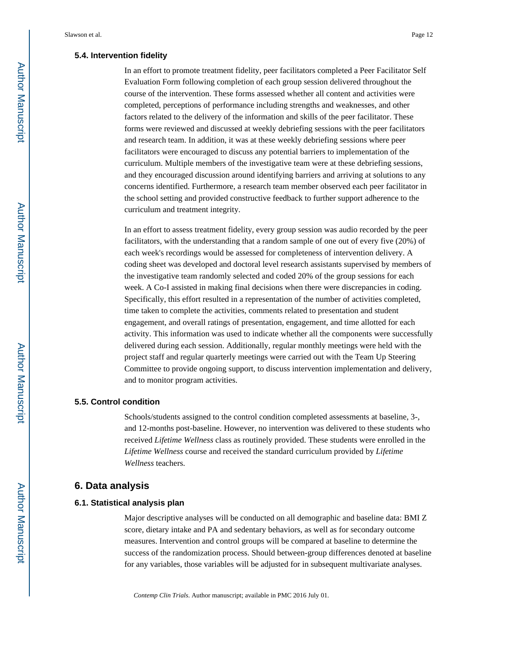#### **5.4. Intervention fidelity**

In an effort to promote treatment fidelity, peer facilitators completed a Peer Facilitator Self Evaluation Form following completion of each group session delivered throughout the course of the intervention. These forms assessed whether all content and activities were completed, perceptions of performance including strengths and weaknesses, and other factors related to the delivery of the information and skills of the peer facilitator. These forms were reviewed and discussed at weekly debriefing sessions with the peer facilitators and research team. In addition, it was at these weekly debriefing sessions where peer facilitators were encouraged to discuss any potential barriers to implementation of the curriculum. Multiple members of the investigative team were at these debriefing sessions, and they encouraged discussion around identifying barriers and arriving at solutions to any concerns identified. Furthermore, a research team member observed each peer facilitator in the school setting and provided constructive feedback to further support adherence to the curriculum and treatment integrity.

In an effort to assess treatment fidelity, every group session was audio recorded by the peer facilitators, with the understanding that a random sample of one out of every five (20%) of each week's recordings would be assessed for completeness of intervention delivery. A coding sheet was developed and doctoral level research assistants supervised by members of the investigative team randomly selected and coded 20% of the group sessions for each week. A Co-I assisted in making final decisions when there were discrepancies in coding. Specifically, this effort resulted in a representation of the number of activities completed, time taken to complete the activities, comments related to presentation and student engagement, and overall ratings of presentation, engagement, and time allotted for each activity. This information was used to indicate whether all the components were successfully delivered during each session. Additionally, regular monthly meetings were held with the project staff and regular quarterly meetings were carried out with the Team Up Steering Committee to provide ongoing support, to discuss intervention implementation and delivery, and to monitor program activities.

#### **5.5. Control condition**

Schools/students assigned to the control condition completed assessments at baseline, 3-, and 12-months post-baseline. However, no intervention was delivered to these students who received *Lifetime Wellness* class as routinely provided. These students were enrolled in the *Lifetime Wellness* course and received the standard curriculum provided by *Lifetime Wellness* teachers.

## **6. Data analysis**

#### **6.1. Statistical analysis plan**

Major descriptive analyses will be conducted on all demographic and baseline data: BMI Z score, dietary intake and PA and sedentary behaviors, as well as for secondary outcome measures. Intervention and control groups will be compared at baseline to determine the success of the randomization process. Should between-group differences denoted at baseline for any variables, those variables will be adjusted for in subsequent multivariate analyses.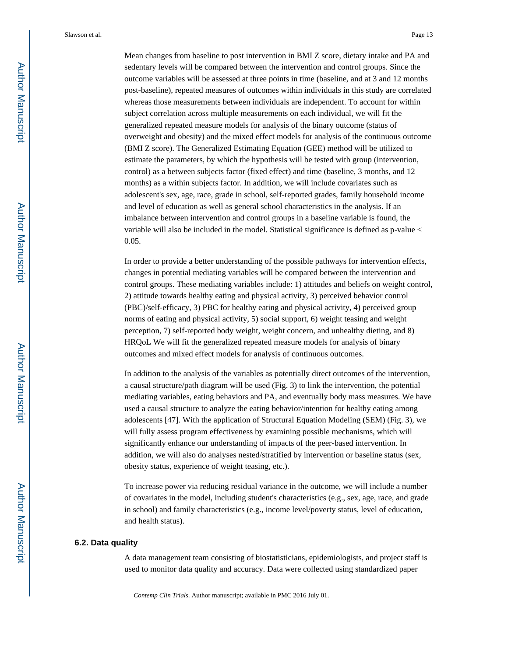Mean changes from baseline to post intervention in BMI Z score, dietary intake and PA and sedentary levels will be compared between the intervention and control groups. Since the outcome variables will be assessed at three points in time (baseline, and at 3 and 12 months post-baseline), repeated measures of outcomes within individuals in this study are correlated whereas those measurements between individuals are independent. To account for within subject correlation across multiple measurements on each individual, we will fit the generalized repeated measure models for analysis of the binary outcome (status of overweight and obesity) and the mixed effect models for analysis of the continuous outcome (BMI Z score). The Generalized Estimating Equation (GEE) method will be utilized to estimate the parameters, by which the hypothesis will be tested with group (intervention, control) as a between subjects factor (fixed effect) and time (baseline, 3 months, and 12 months) as a within subjects factor. In addition, we will include covariates such as adolescent's sex, age, race, grade in school, self-reported grades, family household income and level of education as well as general school characteristics in the analysis. If an imbalance between intervention and control groups in a baseline variable is found, the variable will also be included in the model. Statistical significance is defined as p-value < 0.05.

In order to provide a better understanding of the possible pathways for intervention effects, changes in potential mediating variables will be compared between the intervention and control groups. These mediating variables include: 1) attitudes and beliefs on weight control, 2) attitude towards healthy eating and physical activity, 3) perceived behavior control (PBC)/self-efficacy, 3) PBC for healthy eating and physical activity, 4) perceived group norms of eating and physical activity, 5) social support, 6) weight teasing and weight perception, 7) self-reported body weight, weight concern, and unhealthy dieting, and 8) HRQoL We will fit the generalized repeated measure models for analysis of binary outcomes and mixed effect models for analysis of continuous outcomes.

In addition to the analysis of the variables as potentially direct outcomes of the intervention, a causal structure/path diagram will be used (Fig. 3) to link the intervention, the potential mediating variables, eating behaviors and PA, and eventually body mass measures. We have used a causal structure to analyze the eating behavior/intention for healthy eating among adolescents [47]. With the application of Structural Equation Modeling (SEM) (Fig. 3), we will fully assess program effectiveness by examining possible mechanisms, which will significantly enhance our understanding of impacts of the peer-based intervention. In addition, we will also do analyses nested/stratified by intervention or baseline status (sex, obesity status, experience of weight teasing, etc.).

To increase power via reducing residual variance in the outcome, we will include a number of covariates in the model, including student's characteristics (e.g., sex, age, race, and grade in school) and family characteristics (e.g., income level/poverty status, level of education, and health status).

#### **6.2. Data quality**

A data management team consisting of biostatisticians, epidemiologists, and project staff is used to monitor data quality and accuracy. Data were collected using standardized paper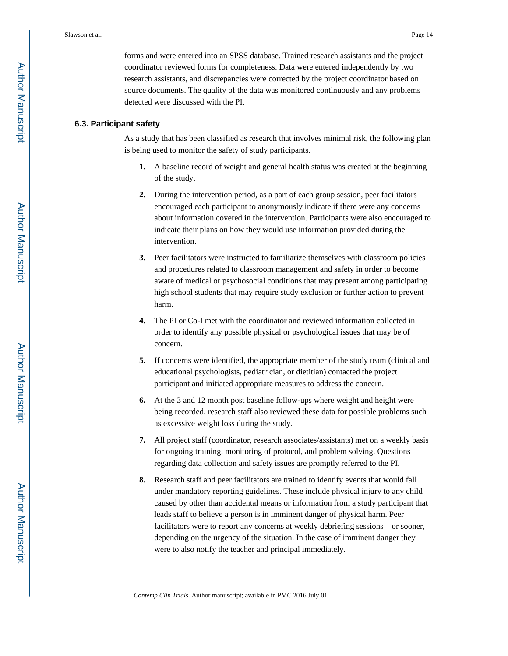forms and were entered into an SPSS database. Trained research assistants and the project coordinator reviewed forms for completeness. Data were entered independently by two research assistants, and discrepancies were corrected by the project coordinator based on source documents. The quality of the data was monitored continuously and any problems detected were discussed with the PI.

#### **6.3. Participant safety**

As a study that has been classified as research that involves minimal risk, the following plan is being used to monitor the safety of study participants.

- **1.** A baseline record of weight and general health status was created at the beginning of the study.
- **2.** During the intervention period, as a part of each group session, peer facilitators encouraged each participant to anonymously indicate if there were any concerns about information covered in the intervention. Participants were also encouraged to indicate their plans on how they would use information provided during the intervention.
- **3.** Peer facilitators were instructed to familiarize themselves with classroom policies and procedures related to classroom management and safety in order to become aware of medical or psychosocial conditions that may present among participating high school students that may require study exclusion or further action to prevent harm.
- **4.** The PI or Co-I met with the coordinator and reviewed information collected in order to identify any possible physical or psychological issues that may be of concern.
- **5.** If concerns were identified, the appropriate member of the study team (clinical and educational psychologists, pediatrician, or dietitian) contacted the project participant and initiated appropriate measures to address the concern.
- **6.** At the 3 and 12 month post baseline follow-ups where weight and height were being recorded, research staff also reviewed these data for possible problems such as excessive weight loss during the study.
- **7.** All project staff (coordinator, research associates/assistants) met on a weekly basis for ongoing training, monitoring of protocol, and problem solving. Questions regarding data collection and safety issues are promptly referred to the PI.
- **8.** Research staff and peer facilitators are trained to identify events that would fall under mandatory reporting guidelines. These include physical injury to any child caused by other than accidental means or information from a study participant that leads staff to believe a person is in imminent danger of physical harm. Peer facilitators were to report any concerns at weekly debriefing sessions – or sooner, depending on the urgency of the situation. In the case of imminent danger they were to also notify the teacher and principal immediately.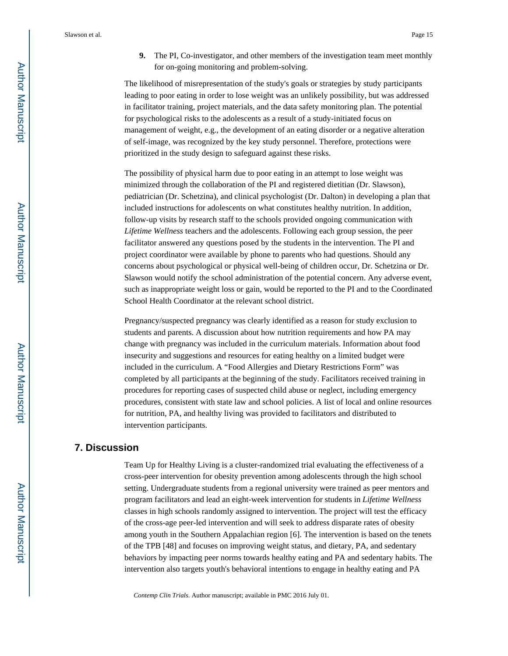**9.** The PI, Co-investigator, and other members of the investigation team meet monthly for on-going monitoring and problem-solving.

The likelihood of misrepresentation of the study's goals or strategies by study participants leading to poor eating in order to lose weight was an unlikely possibility, but was addressed in facilitator training, project materials, and the data safety monitoring plan. The potential for psychological risks to the adolescents as a result of a study-initiated focus on management of weight, e.g., the development of an eating disorder or a negative alteration of self-image, was recognized by the key study personnel. Therefore, protections were prioritized in the study design to safeguard against these risks.

The possibility of physical harm due to poor eating in an attempt to lose weight was minimized through the collaboration of the PI and registered dietitian (Dr. Slawson), pediatrician (Dr. Schetzina), and clinical psychologist (Dr. Dalton) in developing a plan that included instructions for adolescents on what constitutes healthy nutrition. In addition, follow-up visits by research staff to the schools provided ongoing communication with *Lifetime Wellness* teachers and the adolescents. Following each group session, the peer facilitator answered any questions posed by the students in the intervention. The PI and project coordinator were available by phone to parents who had questions. Should any concerns about psychological or physical well-being of children occur, Dr. Schetzina or Dr. Slawson would notify the school administration of the potential concern. Any adverse event, such as inappropriate weight loss or gain, would be reported to the PI and to the Coordinated School Health Coordinator at the relevant school district.

Pregnancy/suspected pregnancy was clearly identified as a reason for study exclusion to students and parents. A discussion about how nutrition requirements and how PA may change with pregnancy was included in the curriculum materials. Information about food insecurity and suggestions and resources for eating healthy on a limited budget were included in the curriculum. A "Food Allergies and Dietary Restrictions Form" was completed by all participants at the beginning of the study. Facilitators received training in procedures for reporting cases of suspected child abuse or neglect, including emergency procedures, consistent with state law and school policies. A list of local and online resources for nutrition, PA, and healthy living was provided to facilitators and distributed to intervention participants.

## **7. Discussion**

Team Up for Healthy Living is a cluster-randomized trial evaluating the effectiveness of a cross-peer intervention for obesity prevention among adolescents through the high school setting. Undergraduate students from a regional university were trained as peer mentors and program facilitators and lead an eight-week intervention for students in *Lifetime Wellness*  classes in high schools randomly assigned to intervention. The project will test the efficacy of the cross-age peer-led intervention and will seek to address disparate rates of obesity among youth in the Southern Appalachian region [6]. The intervention is based on the tenets of the TPB [48] and focuses on improving weight status, and dietary, PA, and sedentary behaviors by impacting peer norms towards healthy eating and PA and sedentary habits. The intervention also targets youth's behavioral intentions to engage in healthy eating and PA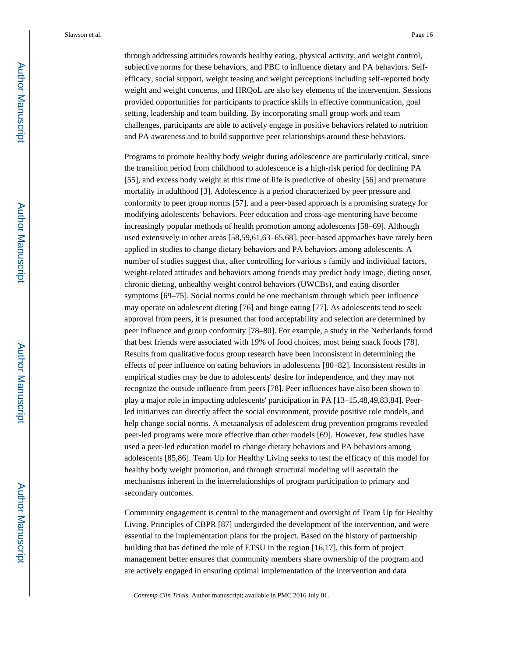through addressing attitudes towards healthy eating, physical activity, and weight control, subjective norms for these behaviors, and PBC to influence dietary and PA behaviors. Selfefficacy, social support, weight teasing and weight perceptions including self-reported body weight and weight concerns, and HRQoL are also key elements of the intervention. Sessions provided opportunities for participants to practice skills in effective communication, goal setting, leadership and team building. By incorporating small group work and team challenges, participants are able to actively engage in positive behaviors related to nutrition and PA awareness and to build supportive peer relationships around these behaviors.

Programs to promote healthy body weight during adolescence are particularly critical, since the transition period from childhood to adolescence is a high-risk period for declining PA [55], and excess body weight at this time of life is predictive of obesity [56] and premature mortality in adulthood [3]. Adolescence is a period characterized by peer pressure and conformity to peer group norms [57], and a peer-based approach is a promising strategy for modifying adolescents' behaviors. Peer education and cross-age mentoring have become increasingly popular methods of health promotion among adolescents [58–69]. Although used extensively in other areas [58,59,61,63–65,68], peer-based approaches have rarely been applied in studies to change dietary behaviors and PA behaviors among adolescents. A number of studies suggest that, after controlling for various s family and individual factors, weight-related attitudes and behaviors among friends may predict body image, dieting onset, chronic dieting, unhealthy weight control behaviors (UWCBs), and eating disorder symptoms [69–75]. Social norms could be one mechanism through which peer influence may operate on adolescent dieting [76] and binge eating [77]. As adolescents tend to seek approval from peers, it is presumed that food acceptability and selection are determined by peer influence and group conformity [78–80]. For example, a study in the Netherlands found that best friends were associated with 19% of food choices, most being snack foods [78]. Results from qualitative focus group research have been inconsistent in determining the effects of peer influence on eating behaviors in adolescents [80–82]. Inconsistent results in empirical studies may be due to adolescents' desire for independence, and they may not recognize the outside influence from peers [78]. Peer influences have also been shown to play a major role in impacting adolescents' participation in PA [13–15,48,49,83,84]. Peerled initiatives can directly affect the social environment, provide positive role models, and help change social norms. A metaanalysis of adolescent drug prevention programs revealed peer-led programs were more effective than other models [69]. However, few studies have used a peer-led education model to change dietary behaviors and PA behaviors among adolescents [85,86]. Team Up for Healthy Living seeks to test the efficacy of this model for healthy body weight promotion, and through structural modeling will ascertain the mechanisms inherent in the interrelationships of program participation to primary and secondary outcomes.

Community engagement is central to the management and oversight of Team Up for Healthy Living. Principles of CBPR [87] undergirded the development of the intervention, and were essential to the implementation plans for the project. Based on the history of partnership building that has defined the role of ETSU in the region [16,17], this form of project management better ensures that community members share ownership of the program and are actively engaged in ensuring optimal implementation of the intervention and data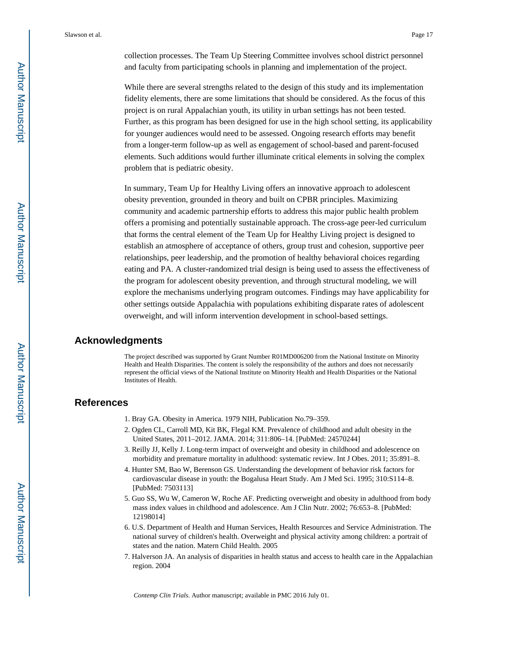collection processes. The Team Up Steering Committee involves school district personnel and faculty from participating schools in planning and implementation of the project.

While there are several strengths related to the design of this study and its implementation fidelity elements, there are some limitations that should be considered. As the focus of this project is on rural Appalachian youth, its utility in urban settings has not been tested. Further, as this program has been designed for use in the high school setting, its applicability for younger audiences would need to be assessed. Ongoing research efforts may benefit from a longer-term follow-up as well as engagement of school-based and parent-focused elements. Such additions would further illuminate critical elements in solving the complex problem that is pediatric obesity.

In summary, Team Up for Healthy Living offers an innovative approach to adolescent obesity prevention, grounded in theory and built on CPBR principles. Maximizing community and academic partnership efforts to address this major public health problem offers a promising and potentially sustainable approach. The cross-age peer-led curriculum that forms the central element of the Team Up for Healthy Living project is designed to establish an atmosphere of acceptance of others, group trust and cohesion, supportive peer relationships, peer leadership, and the promotion of healthy behavioral choices regarding eating and PA. A cluster-randomized trial design is being used to assess the effectiveness of the program for adolescent obesity prevention, and through structural modeling, we will explore the mechanisms underlying program outcomes. Findings may have applicability for other settings outside Appalachia with populations exhibiting disparate rates of adolescent overweight, and will inform intervention development in school-based settings.

## **Acknowledgments**

The project described was supported by Grant Number R01MD006200 from the National Institute on Minority Health and Health Disparities. The content is solely the responsibility of the authors and does not necessarily represent the official views of the National Institute on Minority Health and Health Disparities or the National Institutes of Health.

## **References**

- 1. Bray GA. Obesity in America. 1979 NIH, Publication No.79–359.
- 2. Ogden CL, Carroll MD, Kit BK, Flegal KM. Prevalence of childhood and adult obesity in the United States, 2011–2012. JAMA. 2014; 311:806–14. [PubMed: 24570244]
- 3. Reilly JJ, Kelly J. Long-term impact of overweight and obesity in childhood and adolescence on morbidity and premature mortality in adulthood: systematic review. Int J Obes. 2011; 35:891–8.
- 4. Hunter SM, Bao W, Berenson GS. Understanding the development of behavior risk factors for cardiovascular disease in youth: the Bogalusa Heart Study. Am J Med Sci. 1995; 310:S114–8. [PubMed: 7503113]
- 5. Guo SS, Wu W, Cameron W, Roche AF. Predicting overweight and obesity in adulthood from body mass index values in childhood and adolescence. Am J Clin Nutr. 2002; 76:653–8. [PubMed: 12198014]
- 6. U.S. Department of Health and Human Services, Health Resources and Service Administration. The national survey of children's health. Overweight and physical activity among children: a portrait of states and the nation. Matern Child Health. 2005
- 7. Halverson JA. An analysis of disparities in health status and access to health care in the Appalachian region. 2004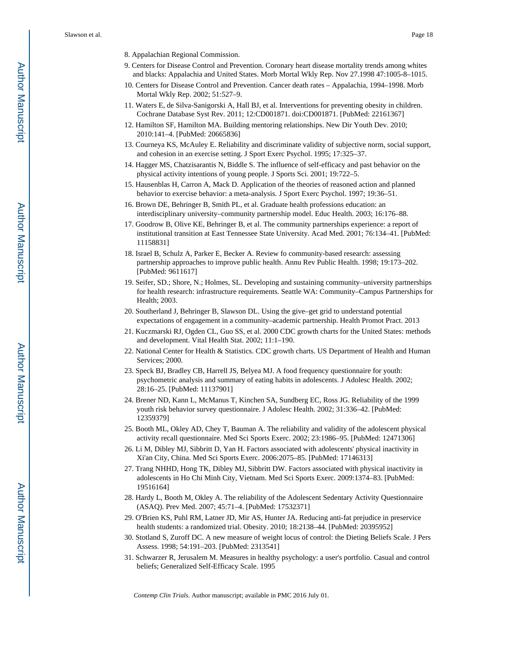- 8. Appalachian Regional Commission.
- 9. Centers for Disease Control and Prevention. Coronary heart disease mortality trends among whites and blacks: Appalachia and United States. Morb Mortal Wkly Rep. Nov 27.1998 47:1005-8–1015.
- 10. Centers for Disease Control and Prevention. Cancer death rates Appalachia, 1994–1998. Morb Mortal Wkly Rep. 2002; 51:527–9.
- 11. Waters E, de Silva-Sanigorski A, Hall BJ, et al. Interventions for preventing obesity in children. Cochrane Database Syst Rev. 2011; 12:CD001871. doi:CD001871. [PubMed: 22161367]
- 12. Hamilton SF, Hamilton MA. Building mentoring relationships. New Dir Youth Dev. 2010; 2010:141–4. [PubMed: 20665836]
- 13. Courneya KS, McAuley E. Reliability and discriminate validity of subjective norm, social support, and cohesion in an exercise setting. J Sport Exerc Psychol. 1995; 17:325–37.
- 14. Hagger MS, Chatzisarantis N, Biddle S. The influence of self-efficacy and past behavior on the physical activity intentions of young people. J Sports Sci. 2001; 19:722–5.
- 15. Hausenblas H, Carron A, Mack D. Application of the theories of reasoned action and planned behavior to exercise behavior: a meta-analysis. J Sport Exerc Psychol. 1997; 19:36–51.
- 16. Brown DE, Behringer B, Smith PL, et al. Graduate health professions education: an interdisciplinary university–community partnership model. Educ Health. 2003; 16:176–88.
- 17. Goodrow B, Olive KE, Behringer B, et al. The community partnerships experience: a report of institutional transition at East Tennessee State University. Acad Med. 2001; 76:134–41. [PubMed: 11158831]
- 18. Israel B, Schulz A, Parker E, Becker A. Review fo community-based research: assessing partnership approaches to improve public health. Annu Rev Public Health. 1998; 19:173–202. [PubMed: 9611617]
- 19. Seifer, SD.; Shore, N.; Holmes, SL. Developing and sustaining community–university partnerships for health research: infrastructure requirements. Seattle WA: Community–Campus Partnerships for Health; 2003.
- 20. Southerland J, Behringer B, Slawson DL. Using the give–get grid to understand potential expectations of engagement in a community–academic partnership. Health Promot Pract. 2013
- 21. Kuczmarski RJ, Ogden CL, Guo SS, et al. 2000 CDC growth charts for the United States: methods and development. Vital Health Stat. 2002; 11:1–190.
- 22. National Center for Health & Statistics. CDC growth charts. US Department of Health and Human Services; 2000.
- 23. Speck BJ, Bradley CB, Harrell JS, Belyea MJ. A food frequency questionnaire for youth: psychometric analysis and summary of eating habits in adolescents. J Adolesc Health. 2002; 28:16–25. [PubMed: 11137901]
- 24. Brener ND, Kann L, McManus T, Kinchen SA, Sundberg EC, Ross JG. Reliability of the 1999 youth risk behavior survey questionnaire. J Adolesc Health. 2002; 31:336–42. [PubMed: 12359379]
- 25. Booth ML, Okley AD, Chey T, Bauman A. The reliability and validity of the adolescent physical activity recall questionnaire. Med Sci Sports Exerc. 2002; 23:1986–95. [PubMed: 12471306]
- 26. Li M, Dibley MJ, Sibbritt D, Yan H. Factors associated with adolescents' physical inactivity in Xi'an City, China. Med Sci Sports Exerc. 2006:2075–85. [PubMed: 17146313]
- 27. Trang NHHD, Hong TK, Dibley MJ, Sibbritt DW. Factors associated with physical inactivity in adolescents in Ho Chi Minh City, Vietnam. Med Sci Sports Exerc. 2009:1374–83. [PubMed: 19516164]
- 28. Hardy L, Booth M, Okley A. The reliability of the Adolescent Sedentary Activity Questionnaire (ASAQ). Prev Med. 2007; 45:71–4. [PubMed: 17532371]
- 29. O'Brien KS, Puhl RM, Latner JD, Mir AS, Hunter JA. Reducing anti-fat prejudice in preservice health students: a randomized trial. Obesity. 2010; 18:2138–44. [PubMed: 20395952]
- 30. Stotland S, Zuroff DC. A new measure of weight locus of control: the Dieting Beliefs Scale. J Pers Assess. 1998; 54:191–203. [PubMed: 2313541]
- 31. Schwarzer R, Jerusalem M. Measures in healthy psychology: a user's portfolio. Casual and control beliefs; Generalized Self-Efficacy Scale. 1995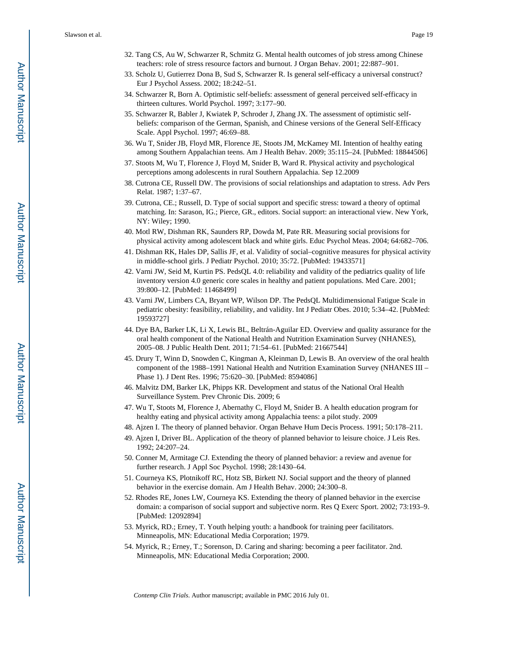- 32. Tang CS, Au W, Schwarzer R, Schmitz G. Mental health outcomes of job stress among Chinese teachers: role of stress resource factors and burnout. J Organ Behav. 2001; 22:887–901.
- 33. Scholz U, Gutierrez Dona B, Sud S, Schwarzer R. Is general self-efficacy a universal construct? Eur J Psychol Assess. 2002; 18:242–51.
- 34. Schwarzer R, Born A. Optimistic self-beliefs: assessment of general perceived self-efficacy in thirteen cultures. World Psychol. 1997; 3:177–90.
- 35. Schwarzer R, Babler J, Kwiatek P, Schroder J, Zhang JX. The assessment of optimistic selfbeliefs: comparison of the German, Spanish, and Chinese versions of the General Self-Efficacy Scale. Appl Psychol. 1997; 46:69–88.
- 36. Wu T, Snider JB, Floyd MR, Florence JE, Stoots JM, McKamey MI. Intention of healthy eating among Southern Appalachian teens. Am J Health Behav. 2009; 35:115–24. [PubMed: 18844506]
- 37. Stoots M, Wu T, Florence J, Floyd M, Snider B, Ward R. Physical activity and psychological perceptions among adolescents in rural Southern Appalachia. Sep 12.2009
- 38. Cutrona CE, Russell DW. The provisions of social relationships and adaptation to stress. Adv Pers Relat. 1987; 1:37–67.
- 39. Cutrona, CE.; Russell, D. Type of social support and specific stress: toward a theory of optimal matching. In: Sarason, IG.; Pierce, GR., editors. Social support: an interactional view. New York, NY: Wiley; 1990.
- 40. Motl RW, Dishman RK, Saunders RP, Dowda M, Pate RR. Measuring social provisions for physical activity among adolescent black and white girls. Educ Psychol Meas. 2004; 64:682–706.
- 41. Dishman RK, Hales DP, Sallis JF, et al. Validity of social–cognitive measures for physical activity in middle-school girls. J Pediatr Psychol. 2010; 35:72. [PubMed: 19433571]
- 42. Varni JW, Seid M, Kurtin PS. PedsQL 4.0: reliability and validity of the pediatrics quality of life inventory version 4.0 generic core scales in healthy and patient populations. Med Care. 2001; 39:800–12. [PubMed: 11468499]
- 43. Varni JW, Limbers CA, Bryant WP, Wilson DP. The PedsQL Multidimensional Fatigue Scale in pediatric obesity: feasibility, reliability, and validity. Int J Pediatr Obes. 2010; 5:34–42. [PubMed: 19593727]
- 44. Dye BA, Barker LK, Li X, Lewis BL, Beltrán-Aguilar ED. Overview and quality assurance for the oral health component of the National Health and Nutrition Examination Survey (NHANES), 2005–08. J Public Health Dent. 2011; 71:54–61. [PubMed: 21667544]
- 45. Drury T, Winn D, Snowden C, Kingman A, Kleinman D, Lewis B. An overview of the oral health component of the 1988–1991 National Health and Nutrition Examination Survey (NHANES III – Phase 1). J Dent Res. 1996; 75:620–30. [PubMed: 8594086]
- 46. Malvitz DM, Barker LK, Phipps KR. Development and status of the National Oral Health Surveillance System. Prev Chronic Dis. 2009; 6
- 47. Wu T, Stoots M, Florence J, Abernathy C, Floyd M, Snider B. A health education program for healthy eating and physical activity among Appalachia teens: a pilot study. 2009
- 48. Ajzen I. The theory of planned behavior. Organ Behave Hum Decis Process. 1991; 50:178–211.
- 49. Ajzen I, Driver BL. Application of the theory of planned behavior to leisure choice. J Leis Res. 1992; 24:207–24.
- 50. Conner M, Armitage CJ. Extending the theory of planned behavior: a review and avenue for further research. J Appl Soc Psychol. 1998; 28:1430–64.
- 51. Courneya KS, Plotnikoff RC, Hotz SB, Birkett NJ. Social support and the theory of planned behavior in the exercise domain. Am J Health Behav. 2000; 24:300–8.
- 52. Rhodes RE, Jones LW, Courneya KS. Extending the theory of planned behavior in the exercise domain: a comparison of social support and subjective norm. Res Q Exerc Sport. 2002; 73:193–9. [PubMed: 12092894]
- 53. Myrick, RD.; Erney, T. Youth helping youth: a handbook for training peer facilitators. Minneapolis, MN: Educational Media Corporation; 1979.
- 54. Myrick, R.; Erney, T.; Sorenson, D. Caring and sharing: becoming a peer facilitator. 2nd. Minneapolis, MN: Educational Media Corporation; 2000.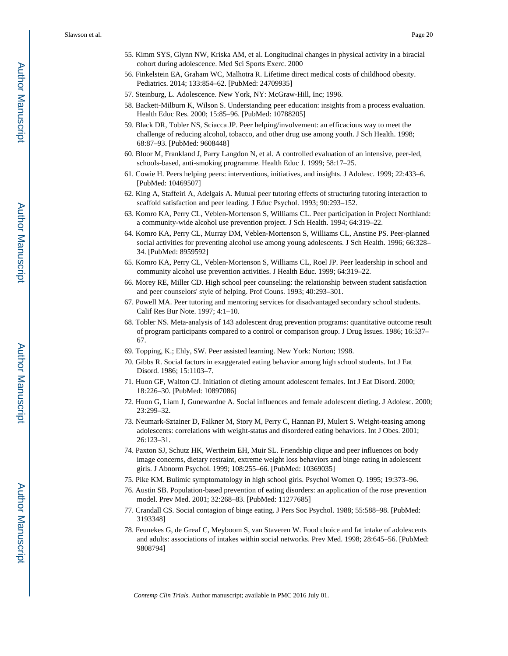- 55. Kimm SYS, Glynn NW, Kriska AM, et al. Longitudinal changes in physical activity in a biracial cohort during adolescence. Med Sci Sports Exerc. 2000
- 56. Finkelstein EA, Graham WC, Malhotra R. Lifetime direct medical costs of childhood obesity. Pediatrics. 2014; 133:854–62. [PubMed: 24709935]
- 57. Steinburg, L. Adolescence. New York, NY: McGraw-Hill, Inc; 1996.
- 58. Backett-Milburn K, Wilson S. Understanding peer education: insights from a process evaluation. Health Educ Res. 2000; 15:85–96. [PubMed: 10788205]
- 59. Black DR, Tobler NS, Sciacca JP. Peer helping/involvement: an efficacious way to meet the challenge of reducing alcohol, tobacco, and other drug use among youth. J Sch Health. 1998; 68:87–93. [PubMed: 9608448]
- 60. Bloor M, Frankland J, Parry Langdon N, et al. A controlled evaluation of an intensive, peer-led, schools-based, anti-smoking programme. Health Educ J. 1999; 58:17–25.
- 61. Cowie H. Peers helping peers: interventions, initiatives, and insights. J Adolesc. 1999; 22:433–6. [PubMed: 10469507]
- 62. King A, Staffeiri A, Adelgais A. Mutual peer tutoring effects of structuring tutoring interaction to scaffold satisfaction and peer leading. J Educ Psychol. 1993; 90:293–152.
- 63. Komro KA, Perry CL, Veblen-Mortenson S, Williams CL. Peer participation in Project Northland: a community-wide alcohol use prevention project. J Sch Health. 1994; 64:319–22.
- 64. Komro KA, Perry CL, Murray DM, Veblen-Mortenson S, Williams CL, Anstine PS. Peer-planned social activities for preventing alcohol use among young adolescents. J Sch Health. 1996; 66:328– 34. [PubMed: 8959592]
- 65. Komro KA, Perry CL, Veblen-Mortenson S, Williams CL, Roel JP. Peer leadership in school and community alcohol use prevention activities. J Health Educ. 1999; 64:319–22.
- 66. Morey RE, Miller CD. High school peer counseling: the relationship between student satisfaction and peer counselors' style of helping. Prof Couns. 1993; 40:293–301.
- 67. Powell MA. Peer tutoring and mentoring services for disadvantaged secondary school students. Calif Res Bur Note. 1997; 4:1–10.
- 68. Tobler NS. Meta-analysis of 143 adolescent drug prevention programs: quantitative outcome result of program participants compared to a control or comparison group. J Drug Issues. 1986; 16:537– 67.
- 69. Topping, K.; Ehly, SW. Peer assisted learning. New York: Norton; 1998.
- 70. Gibbs R. Social factors in exaggerated eating behavior among high school students. Int J Eat Disord. 1986; 15:1103–7.
- 71. Huon GF, Walton CJ. Initiation of dieting amount adolescent females. Int J Eat Disord. 2000; 18:226–30. [PubMed: 10897086]
- 72. Huon G, Liam J, Gunewardne A. Social influences and female adolescent dieting. J Adolesc. 2000; 23:299–32.
- 73. Neumark-Sztainer D, Falkner M, Story M, Perry C, Hannan PJ, Mulert S. Weight-teasing among adolescents: correlations with weight-status and disordered eating behaviors. Int J Obes. 2001; 26:123–31.
- 74. Paxton SJ, Schutz HK, Wertheim EH, Muir SL. Friendship clique and peer influences on body image concerns, dietary restraint, extreme weight loss behaviors and binge eating in adolescent girls. J Abnorm Psychol. 1999; 108:255–66. [PubMed: 10369035]
- 75. Pike KM. Bulimic symptomatology in high school girls. Psychol Women Q. 1995; 19:373–96.
- 76. Austin SB. Population-based prevention of eating disorders: an application of the rose prevention model. Prev Med. 2001; 32:268–83. [PubMed: 11277685]
- 77. Crandall CS. Social contagion of binge eating. J Pers Soc Psychol. 1988; 55:588–98. [PubMed: 3193348]
- 78. Feunekes G, de Greaf C, Meyboom S, van Staveren W. Food choice and fat intake of adolescents and adults: associations of intakes within social networks. Prev Med. 1998; 28:645–56. [PubMed: 9808794]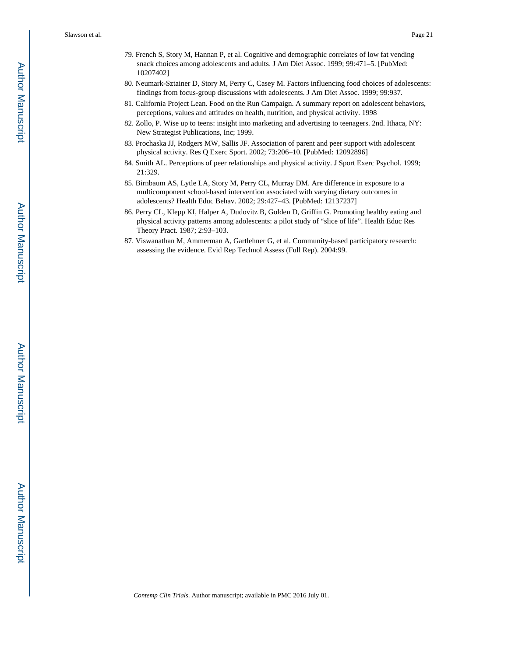- 79. French S, Story M, Hannan P, et al. Cognitive and demographic correlates of low fat vending snack choices among adolescents and adults. J Am Diet Assoc. 1999; 99:471–5. [PubMed: 10207402]
- 80. Neumark-Sztainer D, Story M, Perry C, Casey M. Factors influencing food choices of adolescents: findings from focus-group discussions with adolescents. J Am Diet Assoc. 1999; 99:937.
- 81. California Project Lean. Food on the Run Campaign. A summary report on adolescent behaviors, perceptions, values and attitudes on health, nutrition, and physical activity. 1998
- 82. Zollo, P. Wise up to teens: insight into marketing and advertising to teenagers. 2nd. Ithaca, NY: New Strategist Publications, Inc; 1999.
- 83. Prochaska JJ, Rodgers MW, Sallis JF. Association of parent and peer support with adolescent physical activity. Res Q Exerc Sport. 2002; 73:206–10. [PubMed: 12092896]
- 84. Smith AL. Perceptions of peer relationships and physical activity. J Sport Exerc Psychol. 1999; 21:329.
- 85. Birnbaum AS, Lytle LA, Story M, Perry CL, Murray DM. Are difference in exposure to a multicomponent school-based intervention associated with varying dietary outcomes in adolescents? Health Educ Behav. 2002; 29:427–43. [PubMed: 12137237]
- 86. Perry CL, Klepp KI, Halper A, Dudovitz B, Golden D, Griffin G. Promoting healthy eating and physical activity patterns among adolescents: a pilot study of "slice of life". Health Educ Res Theory Pract. 1987; 2:93–103.
- 87. Viswanathan M, Ammerman A, Gartlehner G, et al. Community-based participatory research: assessing the evidence. Evid Rep Technol Assess (Full Rep). 2004:99.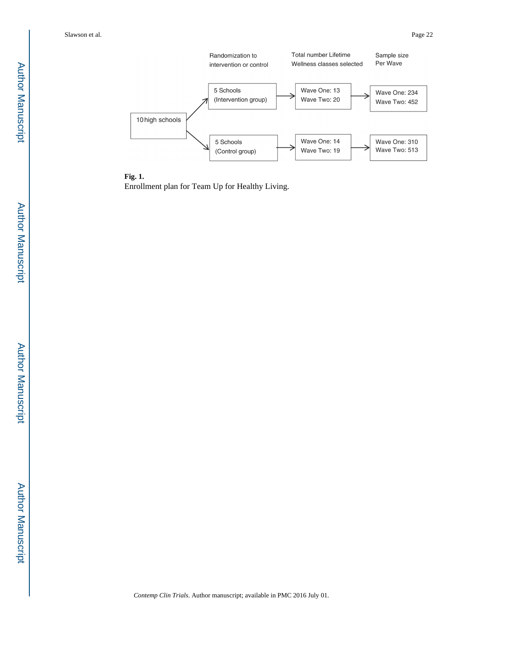Sample size Per Wave

Wave One: 234

Wave Two: 452

Wave One: 310

Wave Two: 513

Total number Lifetime

Wave One: 13

Wave Two: 20

Wave One: 14

Wave Two: 19

Wellness classes selected



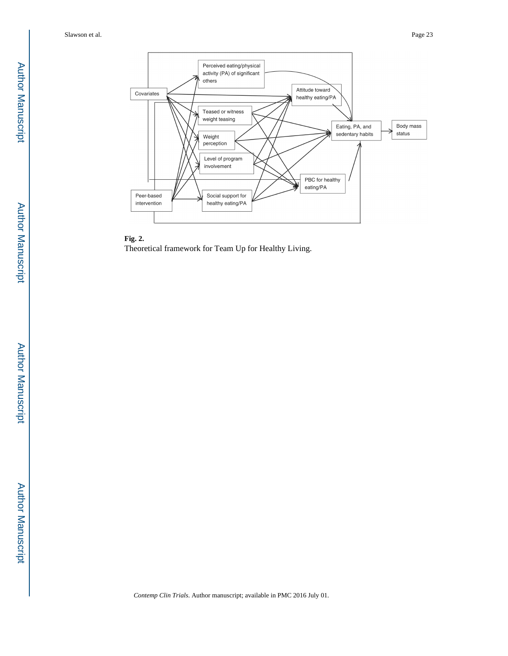

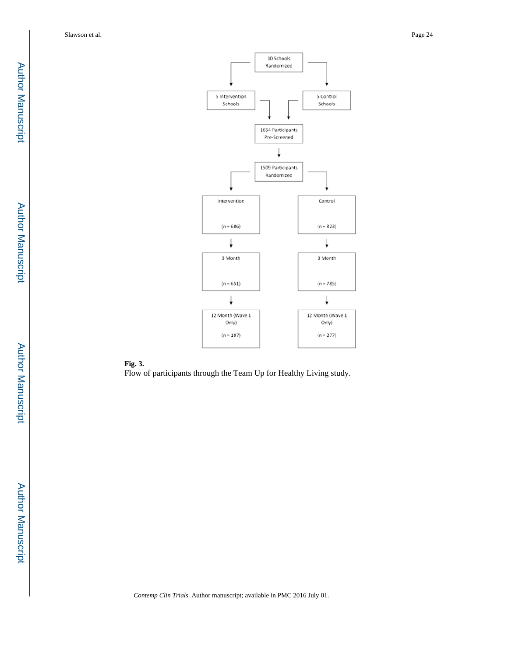



Author Manuscript

Author Manuscript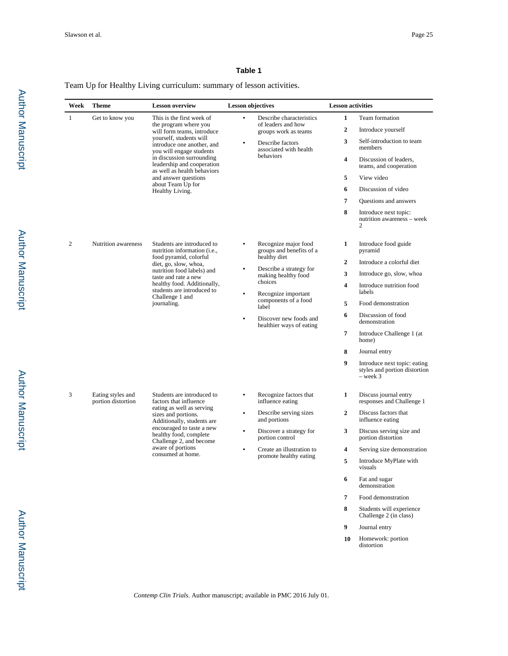## **Table 1**

## Team Up for Healthy Living curriculum: summary of lesson activities.

| Week | <b>Theme</b>                            | <b>Lesson overview</b>                                                                                                                                                                                                                                                                                                          | <b>Lesson</b> objectives                                                                                                                                                                                                                                                                        | <b>Lesson activities</b>                                                                                                                                                                                                                                                                                                                                                                                     |
|------|-----------------------------------------|---------------------------------------------------------------------------------------------------------------------------------------------------------------------------------------------------------------------------------------------------------------------------------------------------------------------------------|-------------------------------------------------------------------------------------------------------------------------------------------------------------------------------------------------------------------------------------------------------------------------------------------------|--------------------------------------------------------------------------------------------------------------------------------------------------------------------------------------------------------------------------------------------------------------------------------------------------------------------------------------------------------------------------------------------------------------|
| 1    | Get to know you                         | This is the first week of<br>the program where you<br>will form teams, introduce<br>yourself, students will<br>introduce one another, and<br>you will engage students<br>in discussion surrounding<br>leadership and cooperation<br>as well as health behaviors<br>and answer questions<br>about Team Up for<br>Healthy Living. | $\bullet$<br>Describe characteristics<br>of leaders and how<br>groups work as teams<br>Describe factors<br>$\bullet$<br>associated with health<br>behaviors                                                                                                                                     | $\mathbf{1}$<br>Team formation<br>$\overline{2}$<br>Introduce yourself<br>3<br>Self-introduction to team<br>members<br>Discussion of leaders,<br>4<br>teams, and cooperation<br>View video<br>5<br>Discussion of video<br>6<br>7<br>Questions and answers<br>8<br>Introduce next topic:<br>nutrition awareness - week<br>2                                                                                   |
| 2    | Nutrition awareness                     | Students are introduced to<br>nutrition information (i.e.,<br>food pyramid, colorful<br>diet, go, slow, whoa,<br>nutrition food labels) and<br>taste and rate a new<br>healthy food. Additionally,<br>students are introduced to<br>Challenge 1 and<br>journaling.                                                              | Recognize major food<br>$\bullet$<br>groups and benefits of a<br>healthy diet<br>Describe a strategy for<br>$\bullet$<br>making healthy food<br>choices<br>Recognize important<br>$\bullet$<br>components of a food<br>label<br>Discover new foods and<br>$\bullet$<br>healthier ways of eating | Introduce food guide<br>1<br>pyramid<br>2<br>Introduce a colorful diet<br>3<br>Introduce go, slow, whoa<br>4<br>Introduce nutrition food<br>labels<br>5<br>Food demonstration<br>Discussion of food<br>6<br>demonstration<br>7<br>Introduce Challenge 1 (at<br>home)<br>8<br>Journal entry<br>9<br>Introduce next topic: eating<br>styles and portion distortion<br>$-$ week $3$                             |
| 3    | Eating styles and<br>portion distortion | Students are introduced to<br>factors that influence<br>eating as well as serving<br>sizes and portions.<br>Additionally, students are<br>encouraged to taste a new<br>healthy food, complete<br>Challenge 2, and become<br>aware of portions<br>consumed at home.                                                              | Recognize factors that<br>$\bullet$<br>influence eating<br>Describe serving sizes<br>$\bullet$<br>and portions<br>Discover a strategy for<br>$\bullet$<br>portion control<br>Create an illustration to<br>$\bullet$<br>promote healthy eating                                                   | Discuss journal entry<br>1<br>responses and Challenge 1<br>Discuss factors that<br>$\overline{2}$<br>influence eating<br>3<br>Discuss serving size and<br>portion distortion<br>4<br>Serving size demonstration<br>5<br>Introduce MyPlate with<br>visuals<br>Fat and sugar<br>6<br>demonstration<br>Food demonstration<br>7<br>Students will experience<br>8<br>Challenge 2 (in class)<br>Journal entry<br>9 |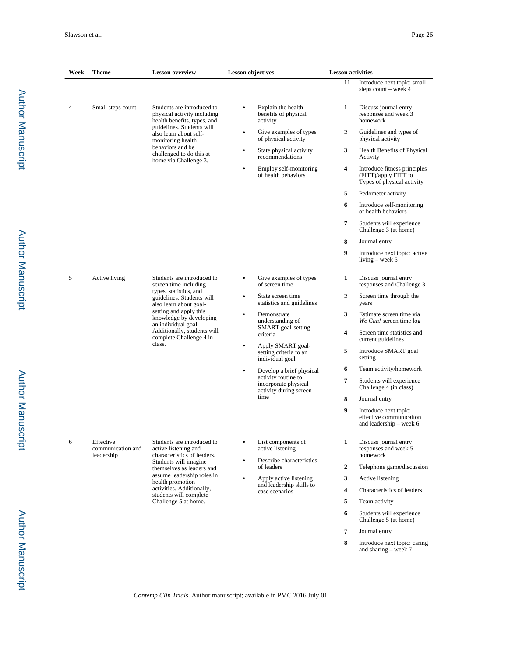| Week           | <b>Theme</b>                                 | <b>Lesson overview</b>                                                                                                                                                                                                                                                               | <b>Lesson objectives</b>                                                                                               | <b>Lesson activities</b> |                                                                                    |
|----------------|----------------------------------------------|--------------------------------------------------------------------------------------------------------------------------------------------------------------------------------------------------------------------------------------------------------------------------------------|------------------------------------------------------------------------------------------------------------------------|--------------------------|------------------------------------------------------------------------------------|
|                |                                              |                                                                                                                                                                                                                                                                                      |                                                                                                                        | 11                       | Introduce next topic: small<br>steps count $-$ week $4$                            |
| $\overline{4}$ | Small steps count                            | Students are introduced to<br>physical activity including<br>health benefits, types, and<br>guidelines. Students will<br>also learn about self-<br>monitoring health<br>behaviors and be<br>challenged to do this at<br>home via Challenge 3.                                        | Explain the health<br>$\bullet$<br>benefits of physical<br>activity                                                    | 1                        | Discuss journal entry<br>responses and week 3<br>homework                          |
|                |                                              |                                                                                                                                                                                                                                                                                      | Give examples of types<br>$\bullet$<br>of physical activity                                                            | $\mathbf{2}$             | Guidelines and types of<br>physical activity                                       |
|                |                                              |                                                                                                                                                                                                                                                                                      | State physical activity<br>$\bullet$<br>recommendations                                                                | 3                        | Health Benefits of Physical<br>Activity                                            |
|                |                                              |                                                                                                                                                                                                                                                                                      | Employ self-monitoring<br>$\bullet$<br>of health behaviors                                                             | 4                        | Introduce fitness principles<br>(FITT)/apply FITT to<br>Types of physical activity |
|                |                                              |                                                                                                                                                                                                                                                                                      |                                                                                                                        | 5                        | Pedometer activity                                                                 |
|                |                                              |                                                                                                                                                                                                                                                                                      |                                                                                                                        | 6                        | Introduce self-monitoring<br>of health behaviors                                   |
|                |                                              |                                                                                                                                                                                                                                                                                      |                                                                                                                        | 7                        | Students will experience<br>Challenge 3 (at home)                                  |
|                |                                              |                                                                                                                                                                                                                                                                                      |                                                                                                                        | 8                        | Journal entry                                                                      |
|                |                                              |                                                                                                                                                                                                                                                                                      |                                                                                                                        | 9                        | Introduce next topic: active<br>$living - week 5$                                  |
| 5              | Active living                                | Students are introduced to<br>screen time including<br>types, statistics, and<br>guidelines. Students will<br>also learn about goal-<br>setting and apply this<br>knowledge by developing<br>an individual goal.<br>Additionally, students will<br>complete Challenge 4 in<br>class. | Give examples of types<br>$\bullet$<br>of screen time                                                                  | $\mathbf{1}$             | Discuss journal entry<br>responses and Challenge 3                                 |
|                |                                              |                                                                                                                                                                                                                                                                                      | State screen time<br>$\bullet$<br>statistics and guidelines                                                            | $\mathbf{2}$             | Screen time through the<br>years                                                   |
|                |                                              |                                                                                                                                                                                                                                                                                      | Demonstrate<br>$\bullet$<br>understanding of                                                                           | 3                        | Estimate screen time via<br>We Can! screen time log                                |
|                |                                              |                                                                                                                                                                                                                                                                                      | SMART goal-setting<br>criteria                                                                                         | 4                        | Screen time statistics and<br>current guidelines                                   |
|                |                                              |                                                                                                                                                                                                                                                                                      | Apply SMART goal-<br>$\bullet$<br>setting criteria to an<br>individual goal                                            | 5                        | Introduce SMART goal<br>setting                                                    |
|                |                                              |                                                                                                                                                                                                                                                                                      | Develop a brief physical<br>$\bullet$<br>activity routine to<br>incorporate physical<br>activity during screen<br>time | 6                        | Team activity/homework                                                             |
|                |                                              |                                                                                                                                                                                                                                                                                      |                                                                                                                        | 7                        | Students will experience<br>Challenge 4 (in class)                                 |
|                |                                              |                                                                                                                                                                                                                                                                                      |                                                                                                                        | 8                        | Journal entry                                                                      |
|                |                                              |                                                                                                                                                                                                                                                                                      |                                                                                                                        | 9                        | Introduce next topic:<br>effective communication<br>and leadership $-$ week $6$    |
| 6              | Effective<br>communication and<br>leadership | Students are introduced to<br>active listening and<br>characteristics of leaders.<br>Students will imagine<br>themselves as leaders and<br>assume leadership roles in<br>health promotion<br>activities. Additionally,<br>students will complete<br>Challenge 5 at home.             | List components of<br>$\bullet$<br>active listening                                                                    | $\mathbf{1}$             | Discuss journal entry<br>responses and week 5<br>homework                          |
|                |                                              |                                                                                                                                                                                                                                                                                      | Describe characteristics<br>$\bullet$<br>of leaders                                                                    | 2                        | Telephone game/discussion                                                          |
|                |                                              |                                                                                                                                                                                                                                                                                      | Apply active listening<br>$\bullet$                                                                                    | 3                        | Active listening                                                                   |
|                |                                              |                                                                                                                                                                                                                                                                                      | and leadership skills to<br>case scenarios                                                                             | 4                        | Characteristics of leaders                                                         |
|                |                                              |                                                                                                                                                                                                                                                                                      |                                                                                                                        | 5                        | Team activity                                                                      |
|                |                                              |                                                                                                                                                                                                                                                                                      |                                                                                                                        | 6                        | Students will experience<br>Challenge 5 (at home)                                  |
|                |                                              |                                                                                                                                                                                                                                                                                      |                                                                                                                        | 7                        | Journal entry                                                                      |
|                |                                              |                                                                                                                                                                                                                                                                                      |                                                                                                                        |                          |                                                                                    |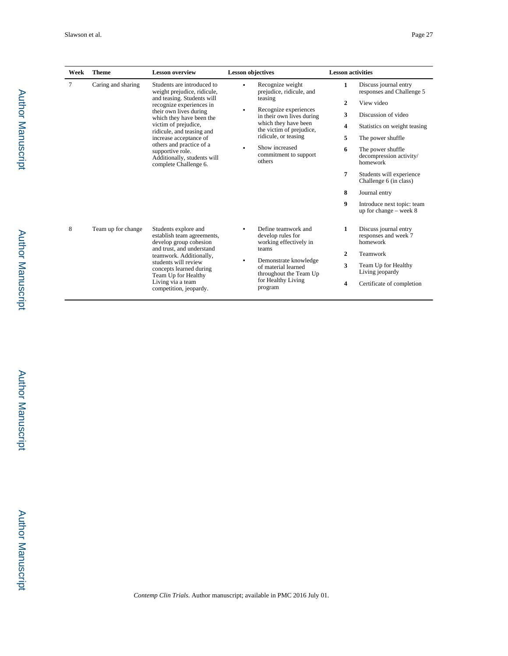| Week | <b>Theme</b>       | <b>Lesson overview</b>                                                                                                                                                                                                                                                                                                                                           | <b>Lesson objectives</b>                                                                                                                                                                                                                                    | <b>Lesson activities</b>                                                                                                                                                                                                                                                                                                                                                                                           |
|------|--------------------|------------------------------------------------------------------------------------------------------------------------------------------------------------------------------------------------------------------------------------------------------------------------------------------------------------------------------------------------------------------|-------------------------------------------------------------------------------------------------------------------------------------------------------------------------------------------------------------------------------------------------------------|--------------------------------------------------------------------------------------------------------------------------------------------------------------------------------------------------------------------------------------------------------------------------------------------------------------------------------------------------------------------------------------------------------------------|
| 7    | Caring and sharing | Students are introduced to<br>weight prejudice, ridicule,<br>and teasing. Students will<br>recognize experiences in<br>their own lives during<br>which they have been the<br>victim of prejudice,<br>ridicule, and teasing and<br>increase acceptance of<br>others and practice of a<br>supportive role.<br>Additionally, students will<br>complete Challenge 6. | Recognize weight<br>prejudice, ridicule, and<br>teasing<br>Recognize experiences<br>in their own lives during<br>which they have been<br>the victim of prejudice,<br>ridicule, or teasing<br>Show increased<br>$\bullet$<br>commitment to support<br>others | Discuss journal entry<br>1<br>responses and Challenge 5<br>$\mathbf{2}$<br>View video<br>Discussion of video<br>3<br>4<br>Statistics on weight teasing<br>5<br>The power shuffle<br>6<br>The power shuffle<br>decompression activity/<br>homework<br>7<br>Students will experience<br>Challenge 6 (in class)<br>8<br>Journal entry<br>$\boldsymbol{Q}$<br>Introduce next topic: team<br>up for change $-$ week $8$ |
| 8    | Team up for change | Students explore and<br>establish team agreements,<br>develop group cohesion<br>and trust, and understand<br>teamwork. Additionally,<br>students will review<br>concepts learned during<br>Team Up for Healthy<br>Living via a team<br>competition, jeopardy.                                                                                                    | Define teamwork and<br>develop rules for<br>working effectively in<br>teams<br>Demonstrate knowledge<br>٠<br>of material learned<br>throughout the Team Up<br>for Healthy Living<br>program                                                                 | Discuss journal entry<br>$\mathbf{1}$<br>responses and week 7<br>homework<br>$\mathbf{2}$<br>Teamwork<br>3<br>Team Up for Healthy<br>Living jeopardy<br>Certificate of completion<br>4                                                                                                                                                                                                                             |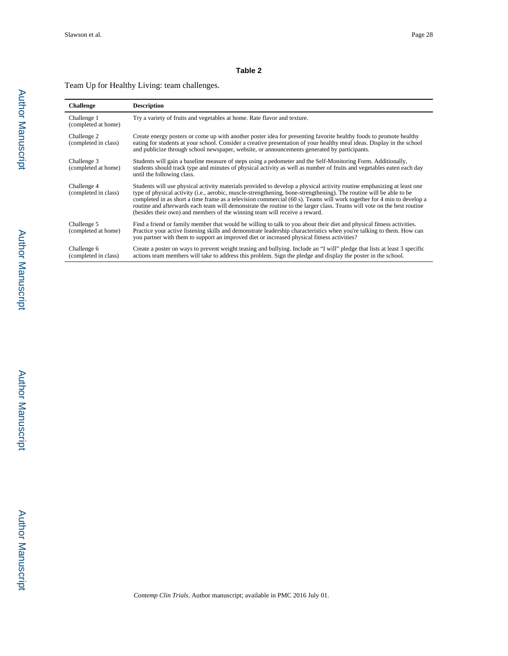## **Table 2**

Team Up for Healthy Living: team challenges.

| <b>Challenge</b>                    | <b>Description</b>                                                                                                                                                                                                                                                                                                                                                                                                                                                                                                                                                             |
|-------------------------------------|--------------------------------------------------------------------------------------------------------------------------------------------------------------------------------------------------------------------------------------------------------------------------------------------------------------------------------------------------------------------------------------------------------------------------------------------------------------------------------------------------------------------------------------------------------------------------------|
| Challenge 1<br>(completed at home)  | Try a variety of fruits and vegetables at home. Rate flavor and texture.                                                                                                                                                                                                                                                                                                                                                                                                                                                                                                       |
| Challenge 2<br>(completed in class) | Create energy posters or come up with another poster idea for presenting favorite healthy foods to promote healthy<br>eating for students at your school. Consider a creative presentation of your healthy meal ideas. Display in the school<br>and publicize through school newspaper, website, or announcements generated by participants.                                                                                                                                                                                                                                   |
| Challenge 3<br>(completed at home)  | Students will gain a baseline measure of steps using a pedometer and the Self-Monitoring Form. Additionally,<br>students should track type and minutes of physical activity as well as number of fruits and vegetables eaten each day<br>until the following class.                                                                                                                                                                                                                                                                                                            |
| Challenge 4<br>(completed in class) | Students will use physical activity materials provided to develop a physical activity routine emphasizing at least one<br>type of physical activity (i.e., aerobic, muscle-strengthening, bone-strengthening). The routine will be able to be<br>completed in as short a time frame as a television commercial (60 s). Teams will work together for 4 min to develop a<br>routine and afterwards each team will demonstrate the routine to the larger class. Teams will vote on the best routine<br>(besides their own) and members of the winning team will receive a reward. |
| Challenge 5<br>(completed at home)  | Find a friend or family member that would be willing to talk to you about their diet and physical fitness activities.<br>Practice your active listening skills and demonstrate leadership characteristics when you're talking to them. How can<br>you partner with them to support an improved diet or increased physical fitness activities?                                                                                                                                                                                                                                  |
| Challenge 6<br>(completed in class) | Create a poster on ways to prevent weight teasing and bullying. Include an "I will" pledge that lists at least 3 specific<br>actions team members will take to address this problem. Sign the pledge and display the poster in the school.                                                                                                                                                                                                                                                                                                                                     |